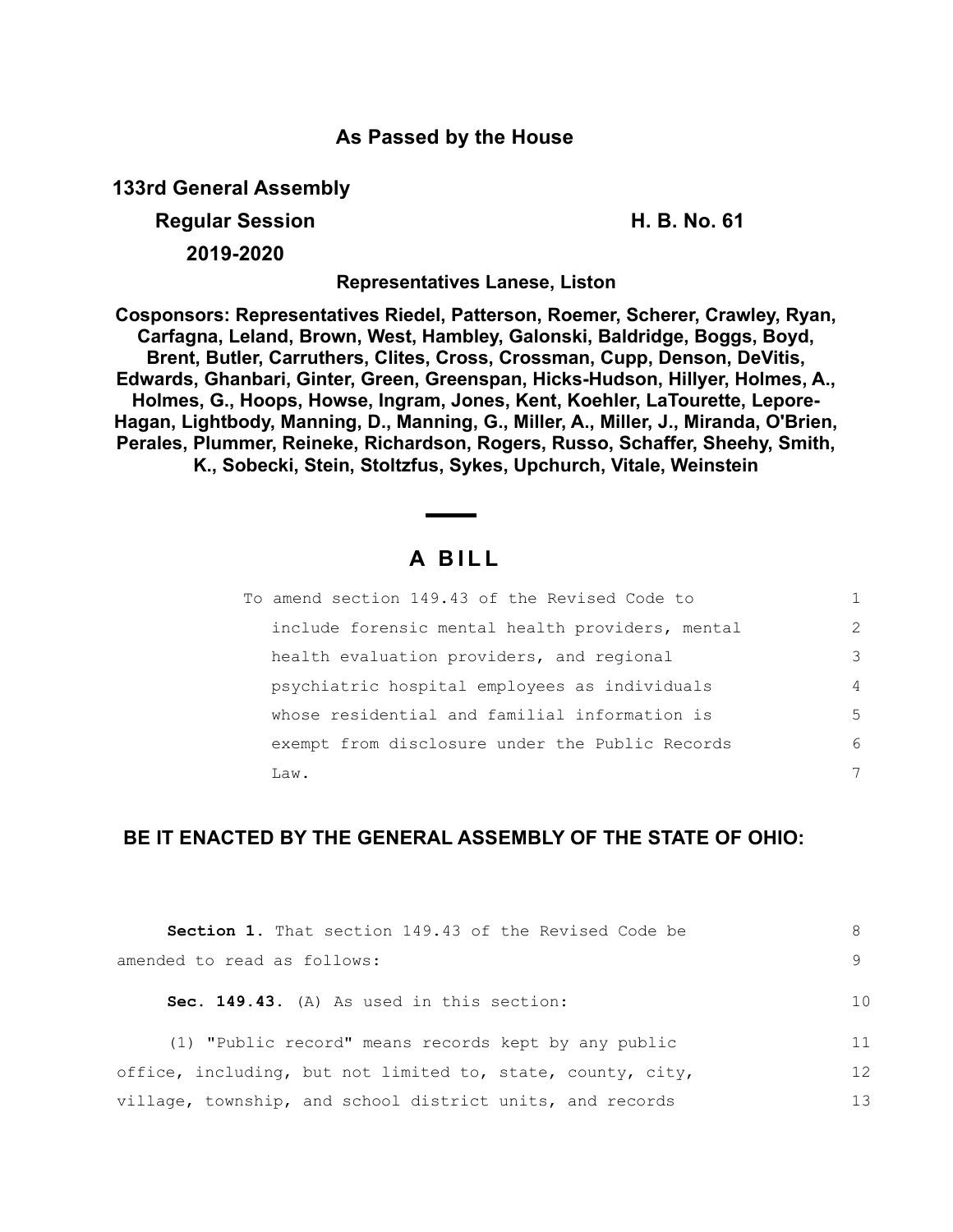## **As Passed by the House**

**133rd General Assembly**

## **Regular Session H. B. No. 61**

**2019-2020**

**Representatives Lanese, Liston**

**Cosponsors: Representatives Riedel, Patterson, Roemer, Scherer, Crawley, Ryan, Carfagna, Leland, Brown, West, Hambley, Galonski, Baldridge, Boggs, Boyd, Brent, Butler, Carruthers, Clites, Cross, Crossman, Cupp, Denson, DeVitis, Edwards, Ghanbari, Ginter, Green, Greenspan, Hicks-Hudson, Hillyer, Holmes, A., Holmes, G., Hoops, Howse, Ingram, Jones, Kent, Koehler, LaTourette, Lepore-Hagan, Lightbody, Manning, D., Manning, G., Miller, A., Miller, J., Miranda, O'Brien, Perales, Plummer, Reineke, Richardson, Rogers, Russo, Schaffer, Sheehy, Smith, K., Sobecki, Stein, Stoltzfus, Sykes, Upchurch, Vitale, Weinstein**

# **A B I L L**

| To amend section 149.43 of the Revised Code to   |                |
|--------------------------------------------------|----------------|
| include forensic mental health providers, mental | $\mathcal{L}$  |
| health evaluation providers, and regional        | 3              |
| psychiatric hospital employees as individuals    | $\overline{4}$ |
| whose residential and familial information is    | 5              |
| exempt from disclosure under the Public Records  | 6              |
| Law.                                             | 7              |

## **BE IT ENACTED BY THE GENERAL ASSEMBLY OF THE STATE OF OHIO:**

| <b>Section 1.</b> That section 149.43 of the Revised Code be |                |
|--------------------------------------------------------------|----------------|
| amended to read as follows:                                  | 9              |
| Sec. 149.43. (A) As used in this section:                    | 1 <sub>0</sub> |
| (1) "Public record" means records kept by any public         | 11             |
| office, including, but not limited to, state, county, city,  | 12             |
| village, township, and school district units, and records    | 13             |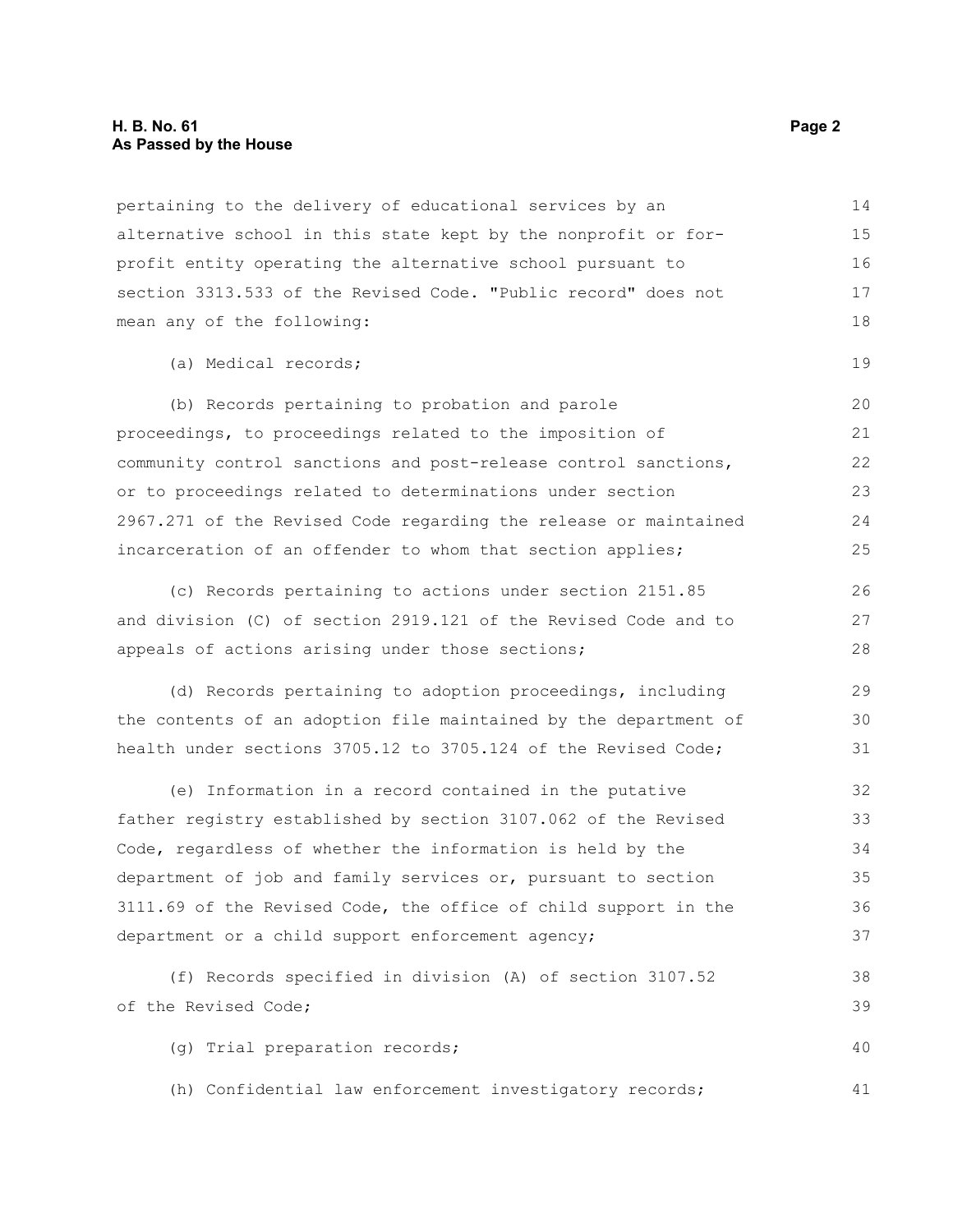#### **H. B. No. 61 Page 2 As Passed by the House**

pertaining to the delivery of educational services by an alternative school in this state kept by the nonprofit or forprofit entity operating the alternative school pursuant to section 3313.533 of the Revised Code. "Public record" does not mean any of the following: 14 15 16 17 18

(a) Medical records;

(b) Records pertaining to probation and parole proceedings, to proceedings related to the imposition of community control sanctions and post-release control sanctions, or to proceedings related to determinations under section 2967.271 of the Revised Code regarding the release or maintained incarceration of an offender to whom that section applies; 20 21 22 23 24 25

(c) Records pertaining to actions under section 2151.85 and division (C) of section 2919.121 of the Revised Code and to appeals of actions arising under those sections; 26 27 28

(d) Records pertaining to adoption proceedings, including the contents of an adoption file maintained by the department of health under sections 3705.12 to 3705.124 of the Revised Code; 29 30 31

(e) Information in a record contained in the putative father registry established by section 3107.062 of the Revised Code, regardless of whether the information is held by the department of job and family services or, pursuant to section 3111.69 of the Revised Code, the office of child support in the department or a child support enforcement agency; 32 33 34 35 36 37

(f) Records specified in division (A) of section 3107.52 of the Revised Code; 38 39

(g) Trial preparation records;

(h) Confidential law enforcement investigatory records;

19

40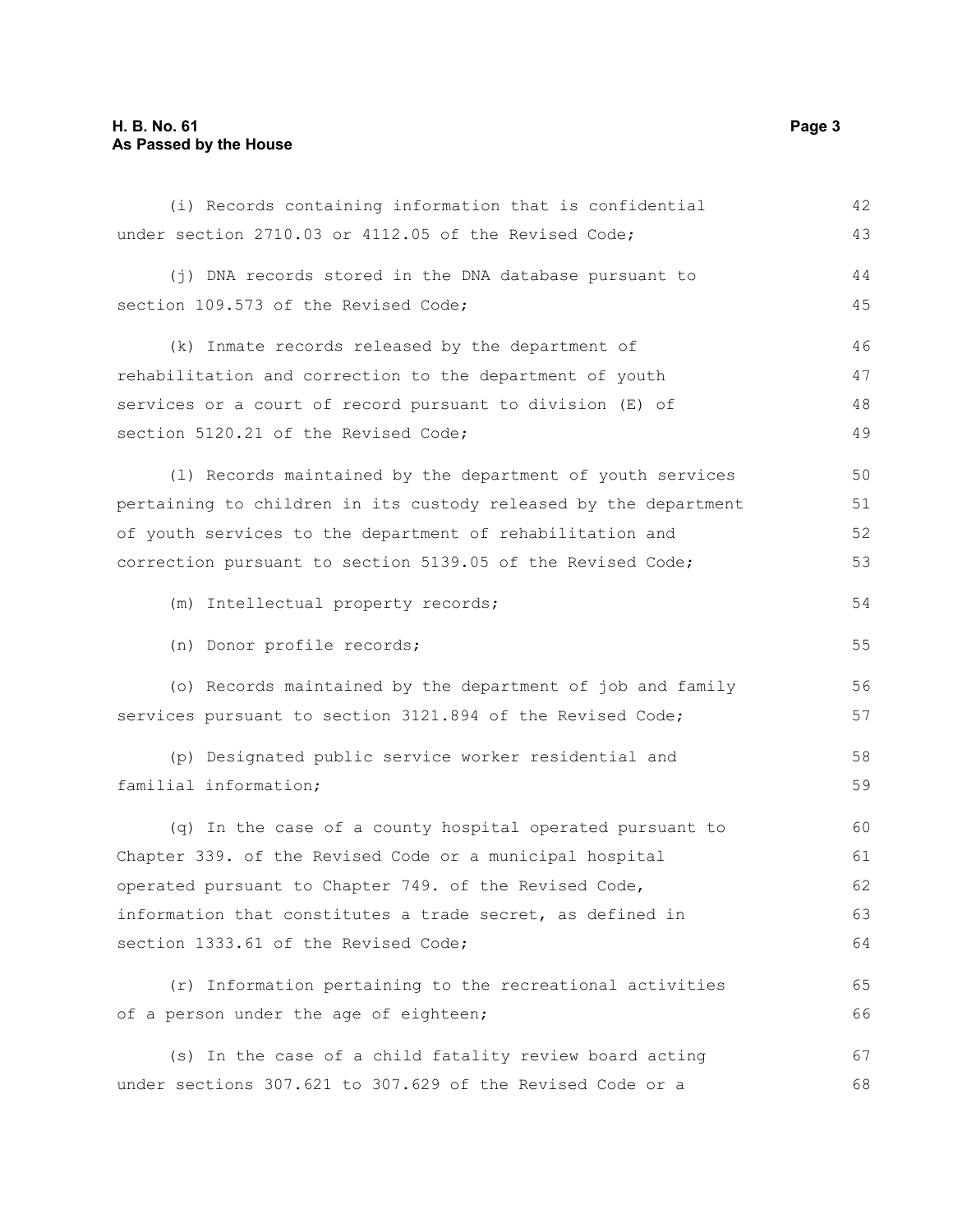### **H. B. No. 61 Page 3 As Passed by the House**

| (i) Records containing information that is confidential          | 42 |
|------------------------------------------------------------------|----|
| under section 2710.03 or 4112.05 of the Revised Code;            | 43 |
| (j) DNA records stored in the DNA database pursuant to           | 44 |
| section 109.573 of the Revised Code;                             | 45 |
| (k) Inmate records released by the department of                 | 46 |
| rehabilitation and correction to the department of youth         | 47 |
| services or a court of record pursuant to division (E) of        |    |
| section 5120.21 of the Revised Code;                             |    |
| (1) Records maintained by the department of youth services       | 50 |
| pertaining to children in its custody released by the department | 51 |
| of youth services to the department of rehabilitation and        | 52 |
| correction pursuant to section 5139.05 of the Revised Code;      | 53 |
| (m) Intellectual property records;                               | 54 |
| (n) Donor profile records;                                       | 55 |
| (o) Records maintained by the department of job and family       | 56 |
| services pursuant to section 3121.894 of the Revised Code;       | 57 |
| (p) Designated public service worker residential and             | 58 |
| familial information;                                            | 59 |
| (q) In the case of a county hospital operated pursuant to        | 60 |
| Chapter 339. of the Revised Code or a municipal hospital         | 61 |
| operated pursuant to Chapter 749. of the Revised Code,           | 62 |
| information that constitutes a trade secret, as defined in       | 63 |
| section 1333.61 of the Revised Code;                             | 64 |
| (r) Information pertaining to the recreational activities        | 65 |
| of a person under the age of eighteen;                           | 66 |
| (s) In the case of a child fatality review board acting          | 67 |
| under sections 307.621 to 307.629 of the Revised Code or a       | 68 |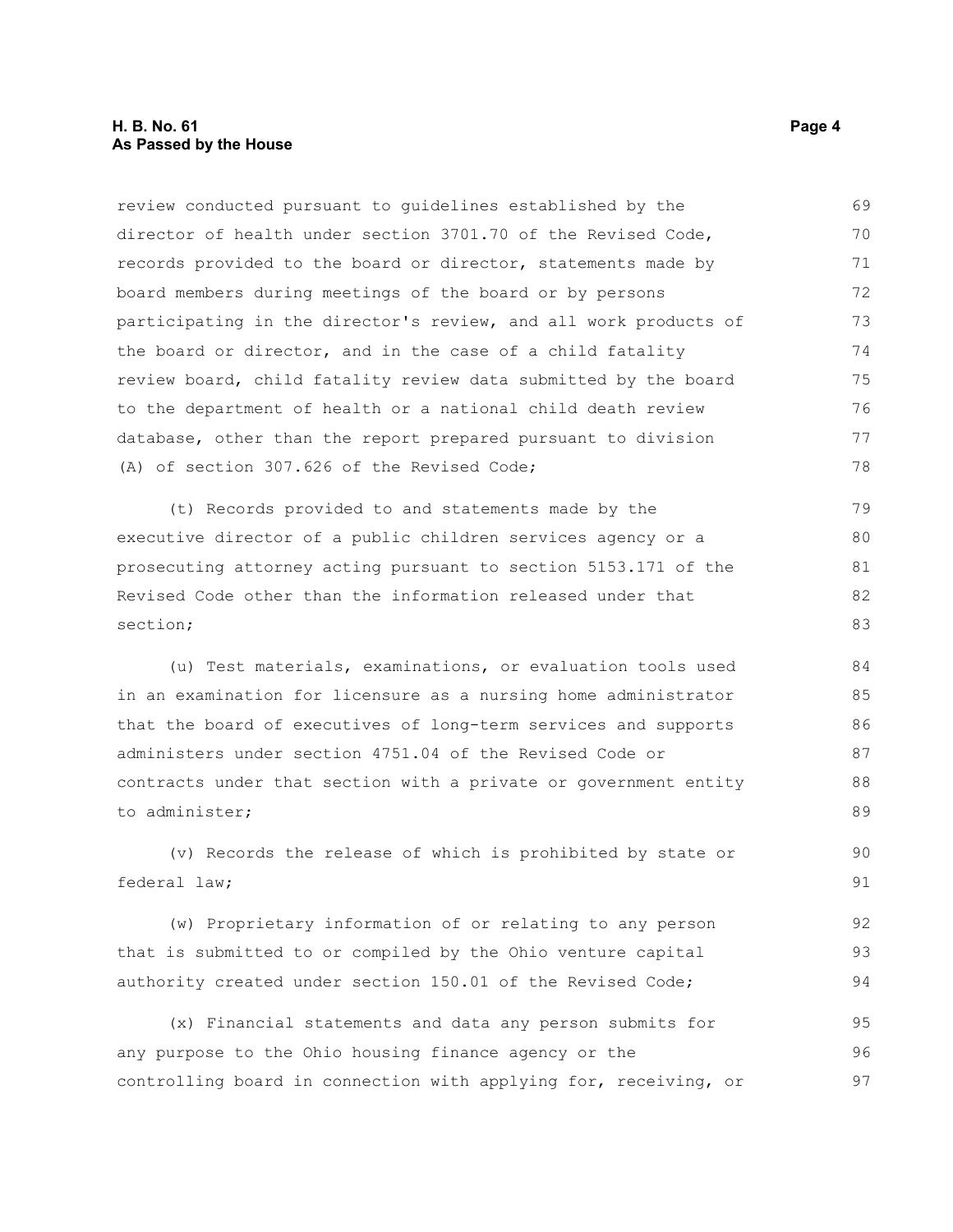#### **H. B. No. 61 Page 4 As Passed by the House**

review conducted pursuant to guidelines established by the director of health under section 3701.70 of the Revised Code, records provided to the board or director, statements made by board members during meetings of the board or by persons participating in the director's review, and all work products of the board or director, and in the case of a child fatality review board, child fatality review data submitted by the board to the department of health or a national child death review database, other than the report prepared pursuant to division (A) of section 307.626 of the Revised Code; 69 70 71 72 73 74 75 76 77 78

(t) Records provided to and statements made by the executive director of a public children services agency or a prosecuting attorney acting pursuant to section 5153.171 of the Revised Code other than the information released under that section; 79 80 81 82 83

(u) Test materials, examinations, or evaluation tools used in an examination for licensure as a nursing home administrator that the board of executives of long-term services and supports administers under section 4751.04 of the Revised Code or contracts under that section with a private or government entity to administer;

(v) Records the release of which is prohibited by state or federal law;  $90$ 91

(w) Proprietary information of or relating to any person that is submitted to or compiled by the Ohio venture capital authority created under section 150.01 of the Revised Code; 92 93 94

(x) Financial statements and data any person submits for any purpose to the Ohio housing finance agency or the controlling board in connection with applying for, receiving, or 95 96 97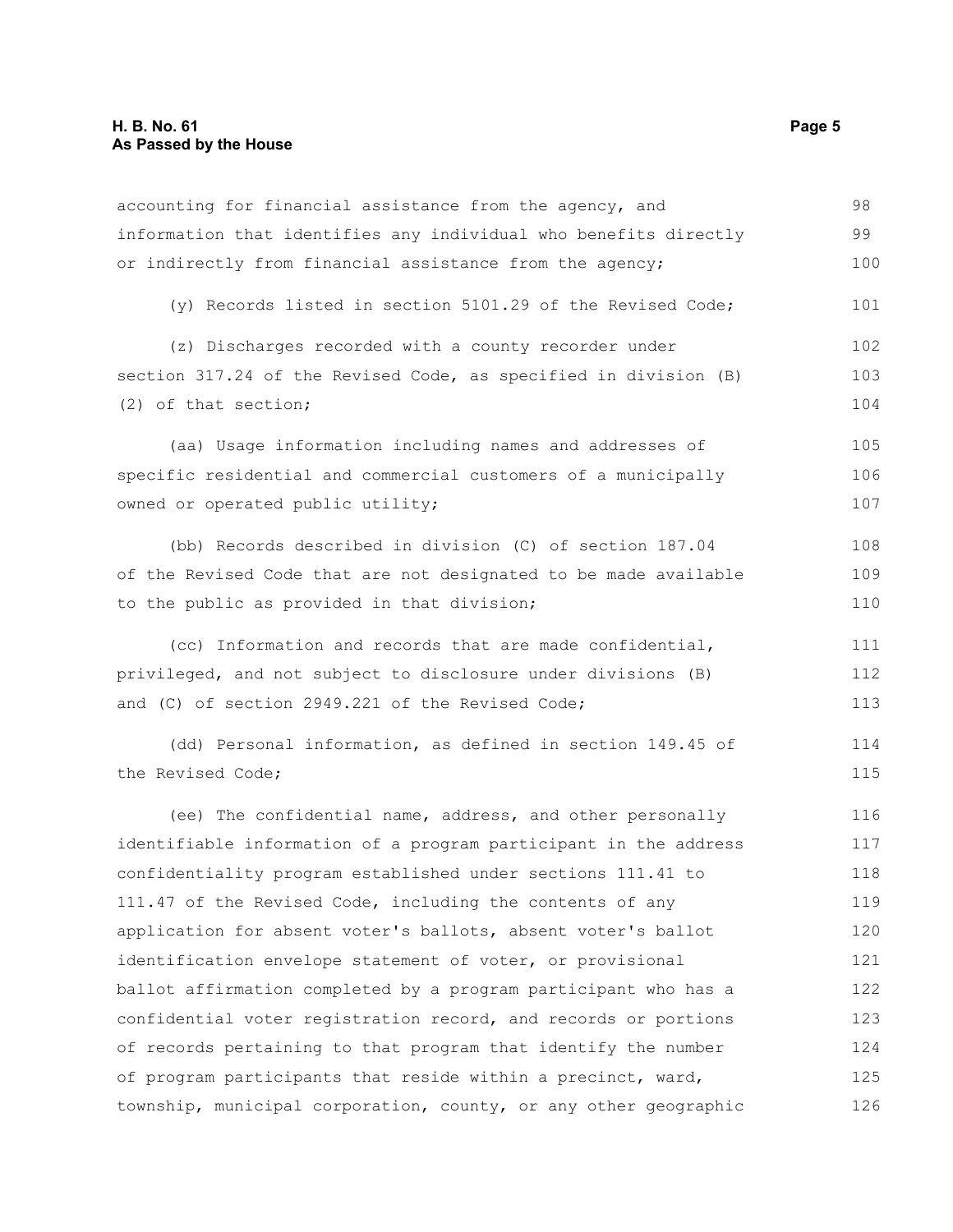accounting for financial assistance from the agency, and information that identifies any individual who benefits directly or indirectly from financial assistance from the agency; 98 99 100

(y) Records listed in section 5101.29 of the Revised Code; 101

(z) Discharges recorded with a county recorder under section 317.24 of the Revised Code, as specified in division (B) (2) of that section;

(aa) Usage information including names and addresses of specific residential and commercial customers of a municipally owned or operated public utility; 105 106 107

(bb) Records described in division (C) of section 187.04 of the Revised Code that are not designated to be made available to the public as provided in that division;

(cc) Information and records that are made confidential, privileged, and not subject to disclosure under divisions (B) and (C) of section 2949.221 of the Revised Code; 111 112 113

(dd) Personal information, as defined in section 149.45 of the Revised Code; 114 115

(ee) The confidential name, address, and other personally identifiable information of a program participant in the address confidentiality program established under sections 111.41 to 111.47 of the Revised Code, including the contents of any application for absent voter's ballots, absent voter's ballot identification envelope statement of voter, or provisional ballot affirmation completed by a program participant who has a confidential voter registration record, and records or portions of records pertaining to that program that identify the number of program participants that reside within a precinct, ward, township, municipal corporation, county, or any other geographic 116 117 118 119 120 121 122 123 124 125 126

102 103 104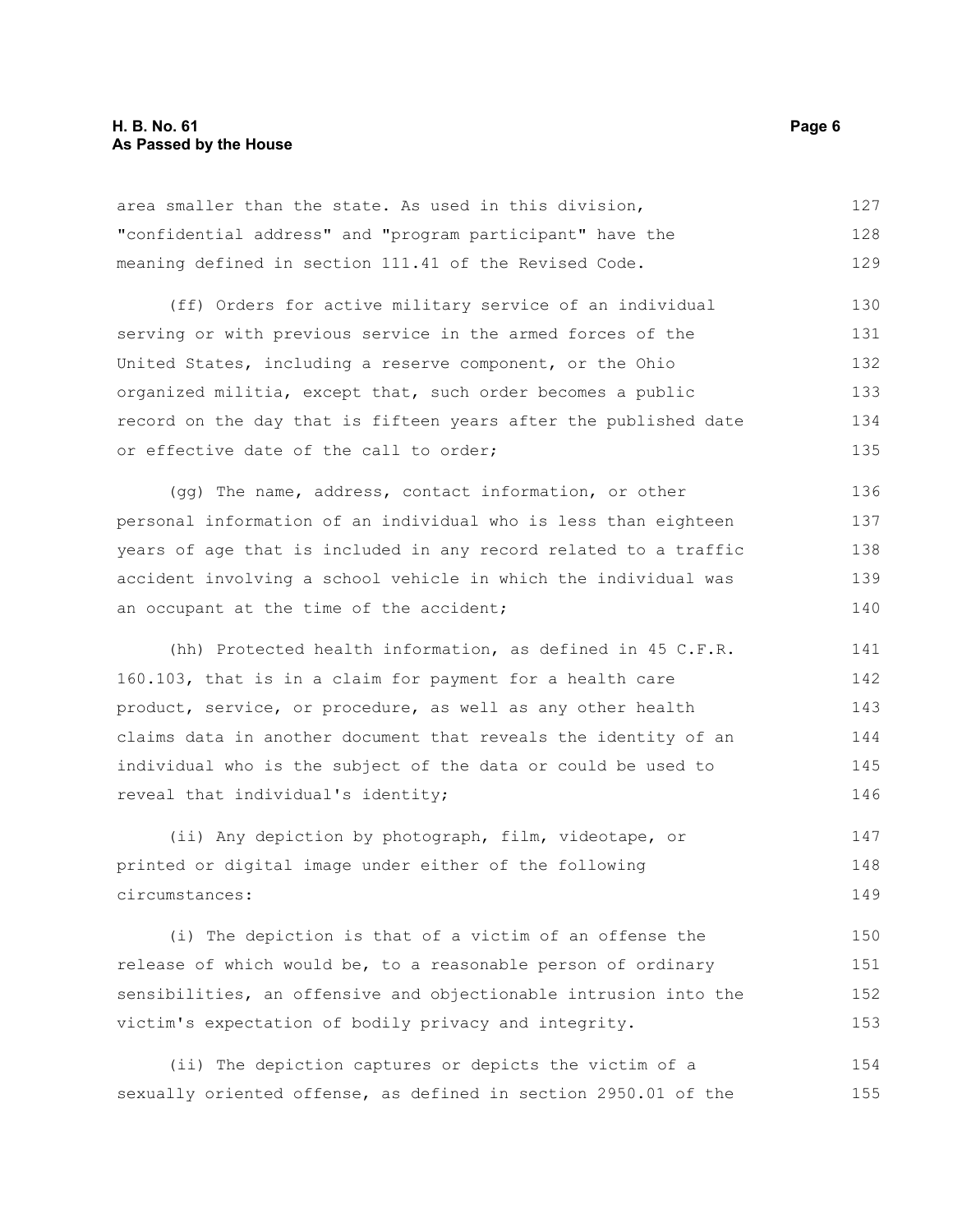#### **H. B. No. 61 Page 6 As Passed by the House**

area smaller than the state. As used in this division, "confidential address" and "program participant" have the meaning defined in section 111.41 of the Revised Code. 127 128 129

(ff) Orders for active military service of an individual serving or with previous service in the armed forces of the United States, including a reserve component, or the Ohio organized militia, except that, such order becomes a public record on the day that is fifteen years after the published date or effective date of the call to order; 130 131 132 133 134 135

(gg) The name, address, contact information, or other personal information of an individual who is less than eighteen years of age that is included in any record related to a traffic accident involving a school vehicle in which the individual was an occupant at the time of the accident; 136 137 138 139 140

(hh) Protected health information, as defined in 45 C.F.R. 160.103, that is in a claim for payment for a health care product, service, or procedure, as well as any other health claims data in another document that reveals the identity of an individual who is the subject of the data or could be used to reveal that individual's identity; 141 142 143 144 145 146

(ii) Any depiction by photograph, film, videotape, or printed or digital image under either of the following circumstances: 147 148 149

(i) The depiction is that of a victim of an offense the release of which would be, to a reasonable person of ordinary sensibilities, an offensive and objectionable intrusion into the victim's expectation of bodily privacy and integrity. 150 151 152 153

(ii) The depiction captures or depicts the victim of a sexually oriented offense, as defined in section 2950.01 of the 154 155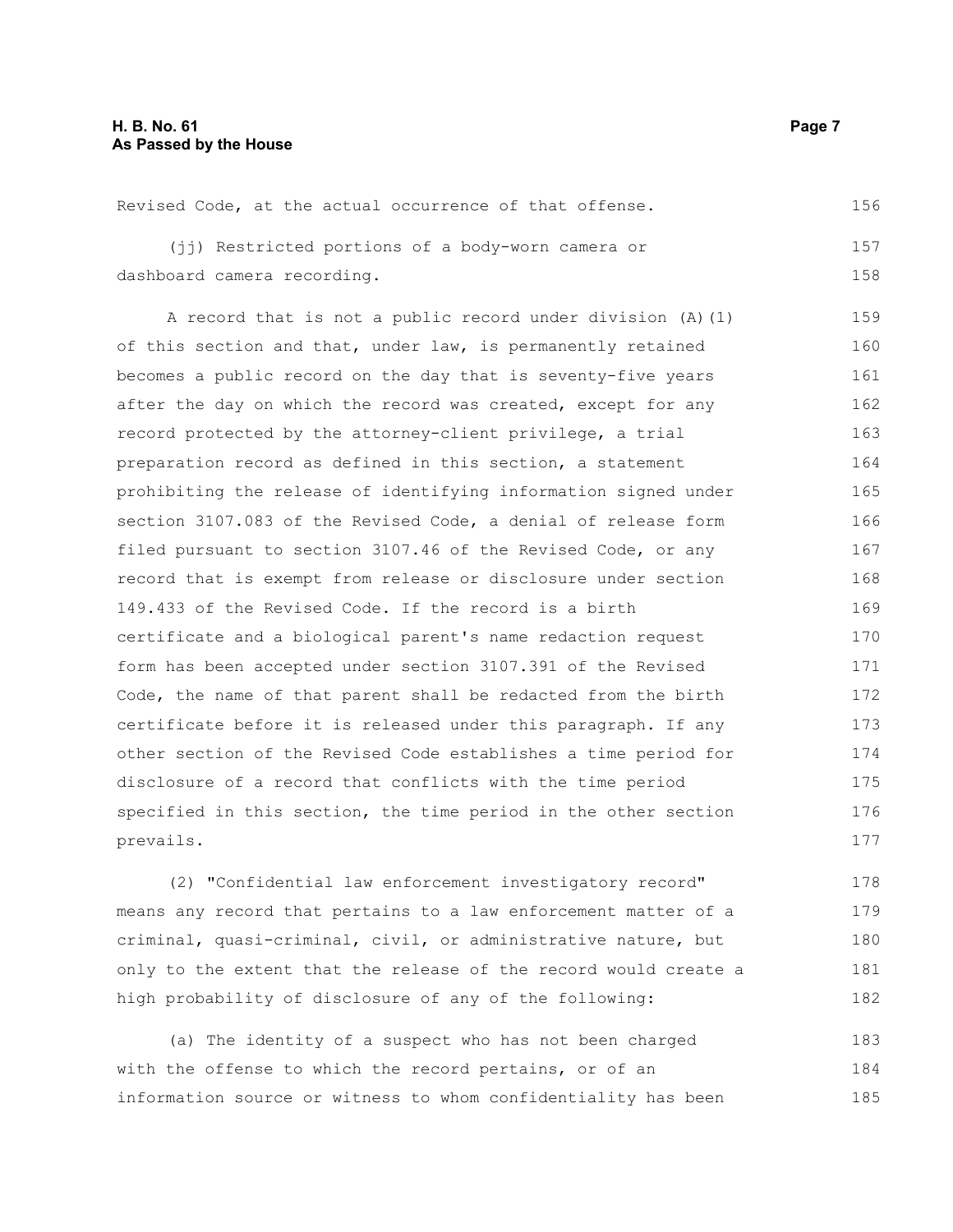Revised Code, at the actual occurrence of that offense. (jj) Restricted portions of a body-worn camera or dashboard camera recording. A record that is not a public record under division (A)(1) of this section and that, under law, is permanently retained becomes a public record on the day that is seventy-five years after the day on which the record was created, except for any record protected by the attorney-client privilege, a trial preparation record as defined in this section, a statement prohibiting the release of identifying information signed under section 3107.083 of the Revised Code, a denial of release form filed pursuant to section 3107.46 of the Revised Code, or any record that is exempt from release or disclosure under section 149.433 of the Revised Code. If the record is a birth certificate and a biological parent's name redaction request form has been accepted under section 3107.391 of the Revised Code, the name of that parent shall be redacted from the birth certificate before it is released under this paragraph. If any other section of the Revised Code establishes a time period for disclosure of a record that conflicts with the time period specified in this section, the time period in the other section prevails. 156 157 158 159 160 161 162 163 164 165 166 167 168 169 170 171 172 173 174 175 176 177

(2) "Confidential law enforcement investigatory record" means any record that pertains to a law enforcement matter of a criminal, quasi-criminal, civil, or administrative nature, but only to the extent that the release of the record would create a high probability of disclosure of any of the following: 178 179 180 181 182

(a) The identity of a suspect who has not been charged with the offense to which the record pertains, or of an information source or witness to whom confidentiality has been 183 184 185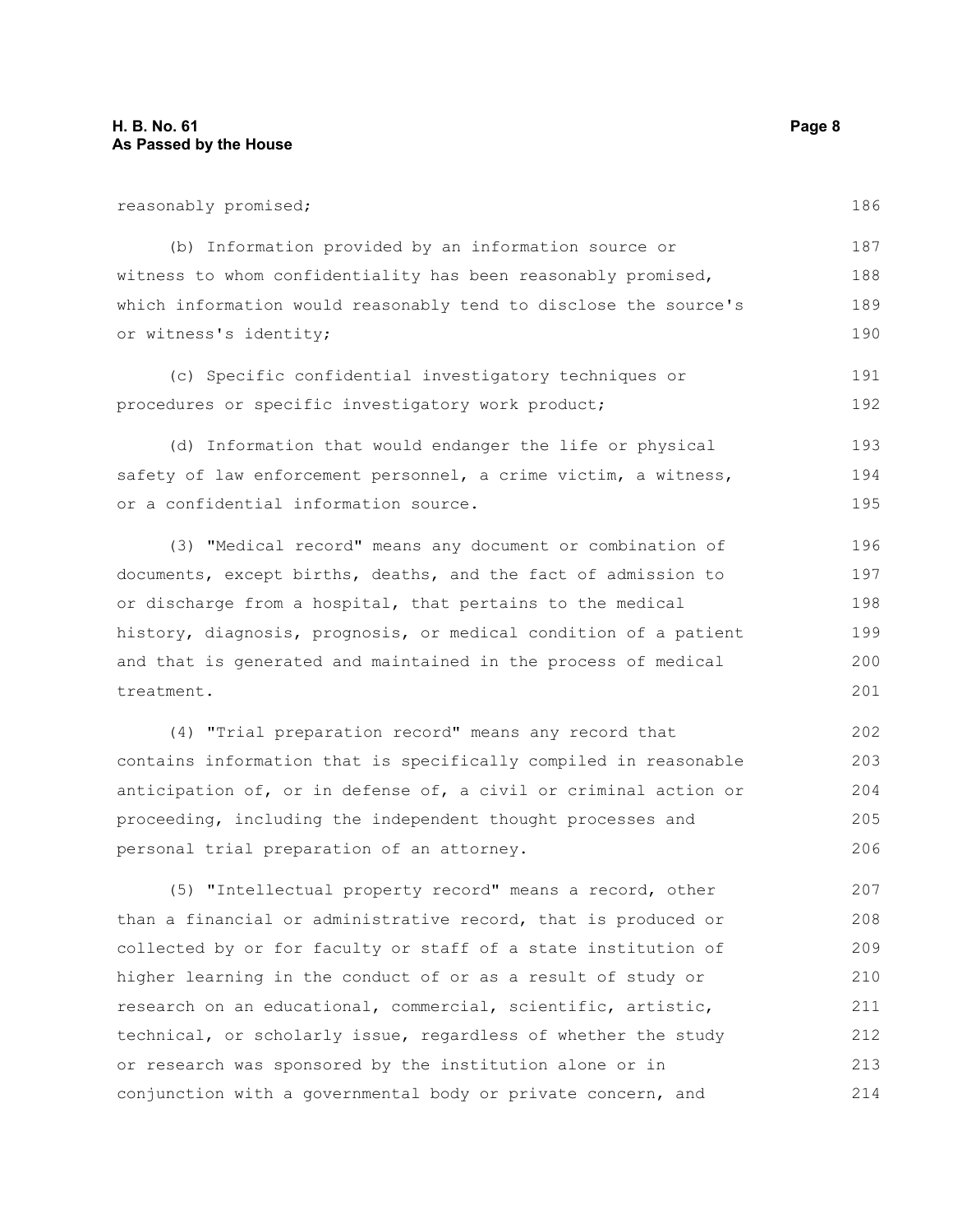reasonably promised; (b) Information provided by an information source or witness to whom confidentiality has been reasonably promised, which information would reasonably tend to disclose the source's or witness's identity; (c) Specific confidential investigatory techniques or procedures or specific investigatory work product; (d) Information that would endanger the life or physical safety of law enforcement personnel, a crime victim, a witness, or a confidential information source. (3) "Medical record" means any document or combination of documents, except births, deaths, and the fact of admission to

or discharge from a hospital, that pertains to the medical history, diagnosis, prognosis, or medical condition of a patient and that is generated and maintained in the process of medical treatment. 198 199 200 201

(4) "Trial preparation record" means any record that contains information that is specifically compiled in reasonable anticipation of, or in defense of, a civil or criminal action or proceeding, including the independent thought processes and personal trial preparation of an attorney. 202 203 204 205 206

(5) "Intellectual property record" means a record, other than a financial or administrative record, that is produced or collected by or for faculty or staff of a state institution of higher learning in the conduct of or as a result of study or research on an educational, commercial, scientific, artistic, technical, or scholarly issue, regardless of whether the study or research was sponsored by the institution alone or in conjunction with a governmental body or private concern, and 207 208 209 210 211 212 213 214

186

191 192

193

195

196 197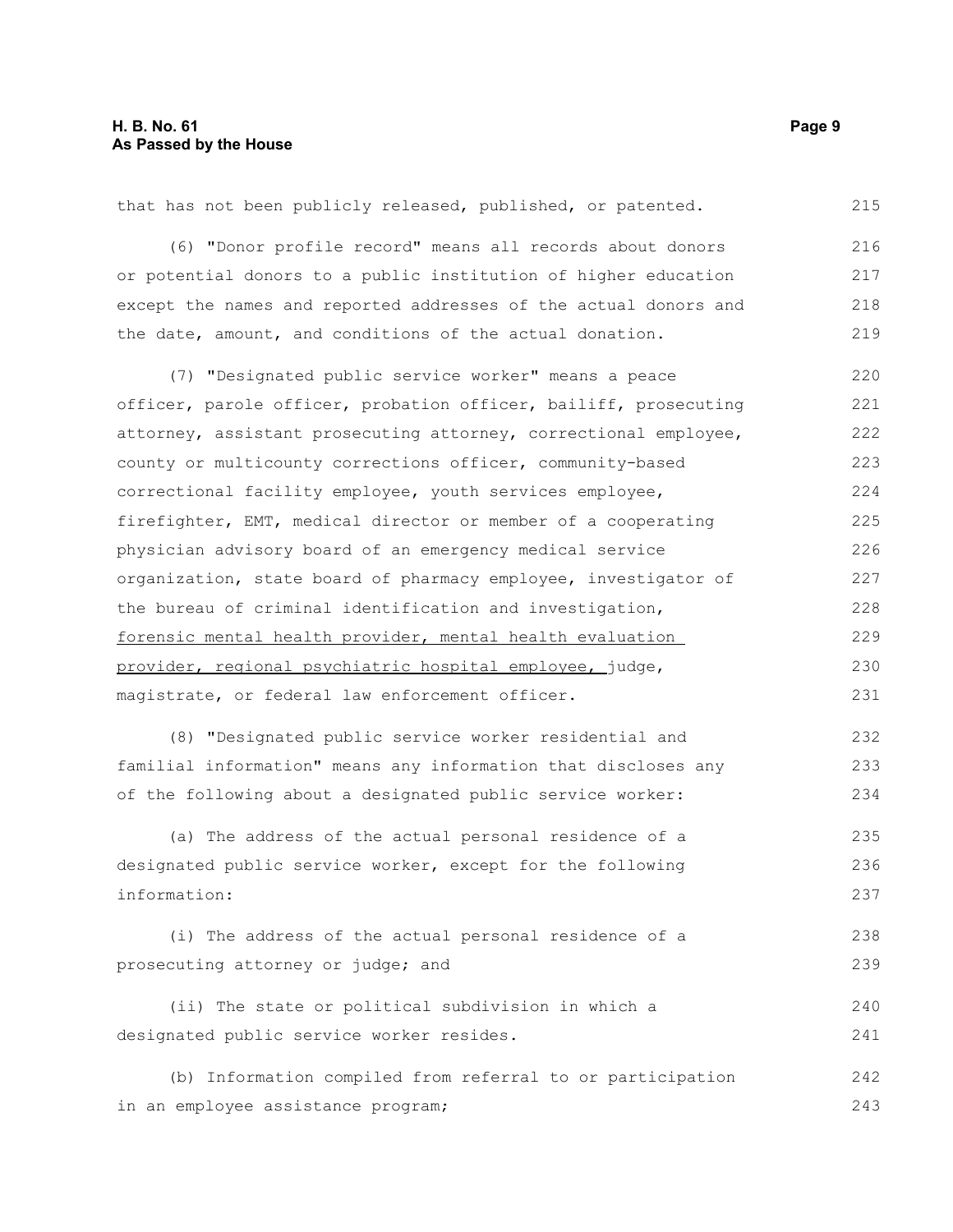that has not been publicly released, published, or patented. (6) "Donor profile record" means all records about donors or potential donors to a public institution of higher education except the names and reported addresses of the actual donors and the date, amount, and conditions of the actual donation. (7) "Designated public service worker" means a peace 215 216 217 218 219 220

officer, parole officer, probation officer, bailiff, prosecuting attorney, assistant prosecuting attorney, correctional employee, county or multicounty corrections officer, community-based correctional facility employee, youth services employee, firefighter, EMT, medical director or member of a cooperating physician advisory board of an emergency medical service organization, state board of pharmacy employee, investigator of the bureau of criminal identification and investigation, forensic mental health provider, mental health evaluation provider, regional psychiatric hospital employee, judge, magistrate, or federal law enforcement officer. 221 222 223 224 225 226 227 228 229 230 231

(8) "Designated public service worker residential and familial information" means any information that discloses any of the following about a designated public service worker: 232 233 234

(a) The address of the actual personal residence of a designated public service worker, except for the following information: 235 236 237

(i) The address of the actual personal residence of a prosecuting attorney or judge; and 238 239

(ii) The state or political subdivision in which a designated public service worker resides. 240 241

(b) Information compiled from referral to or participation in an employee assistance program; 242 243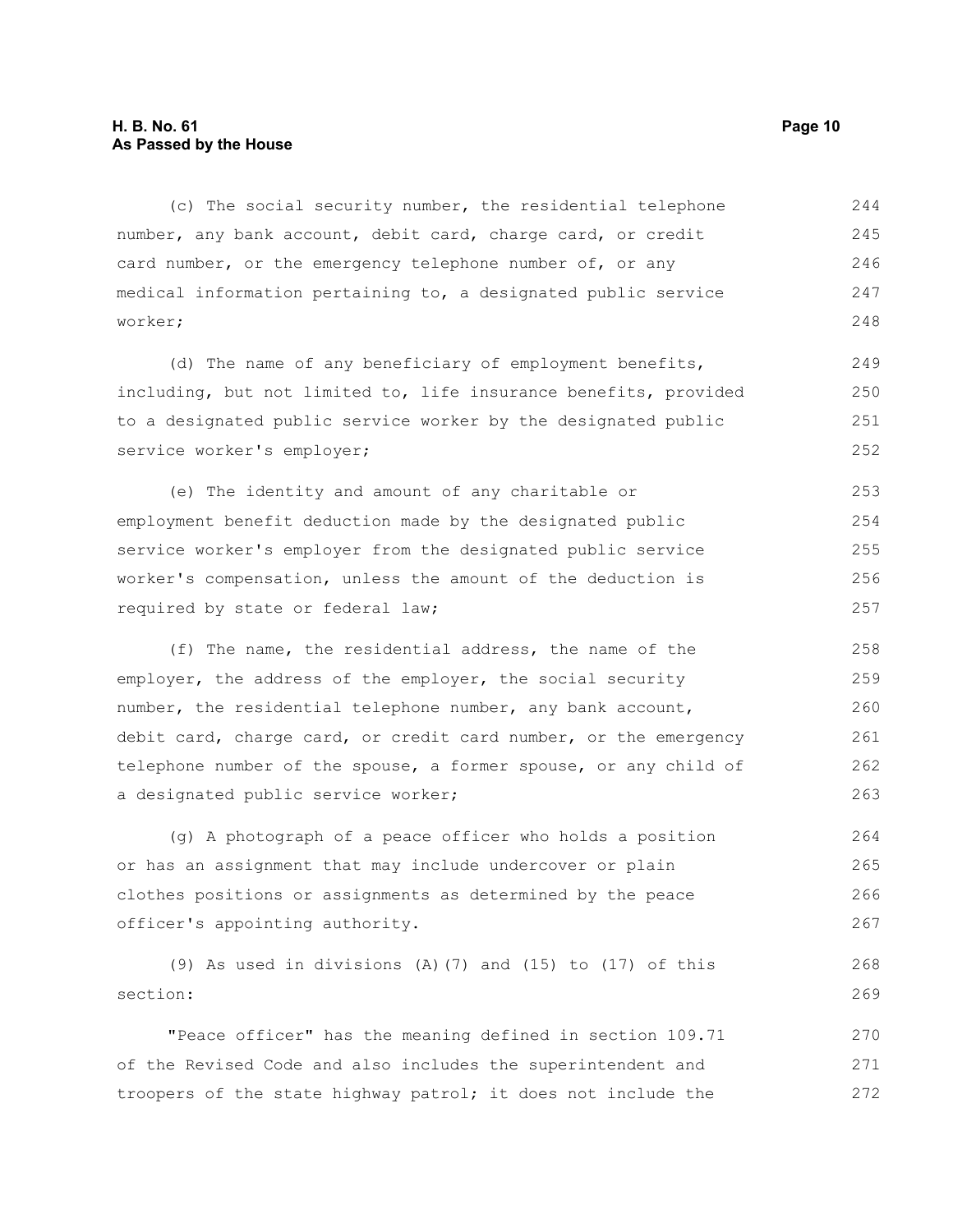#### **H. B. No. 61 Page 10 As Passed by the House**

(c) The social security number, the residential telephone number, any bank account, debit card, charge card, or credit card number, or the emergency telephone number of, or any medical information pertaining to, a designated public service worker; 244 245 246 247 248

(d) The name of any beneficiary of employment benefits, including, but not limited to, life insurance benefits, provided to a designated public service worker by the designated public service worker's employer;

(e) The identity and amount of any charitable or employment benefit deduction made by the designated public service worker's employer from the designated public service worker's compensation, unless the amount of the deduction is required by state or federal law; 253 254 255 256 257

(f) The name, the residential address, the name of the employer, the address of the employer, the social security number, the residential telephone number, any bank account, debit card, charge card, or credit card number, or the emergency telephone number of the spouse, a former spouse, or any child of a designated public service worker; 258 259 260 261 262 263

(g) A photograph of a peace officer who holds a position or has an assignment that may include undercover or plain clothes positions or assignments as determined by the peace officer's appointing authority. 264 265 266 267

(9) As used in divisions (A)(7) and (15) to (17) of this section: 268 269

"Peace officer" has the meaning defined in section 109.71 of the Revised Code and also includes the superintendent and troopers of the state highway patrol; it does not include the 270 271 272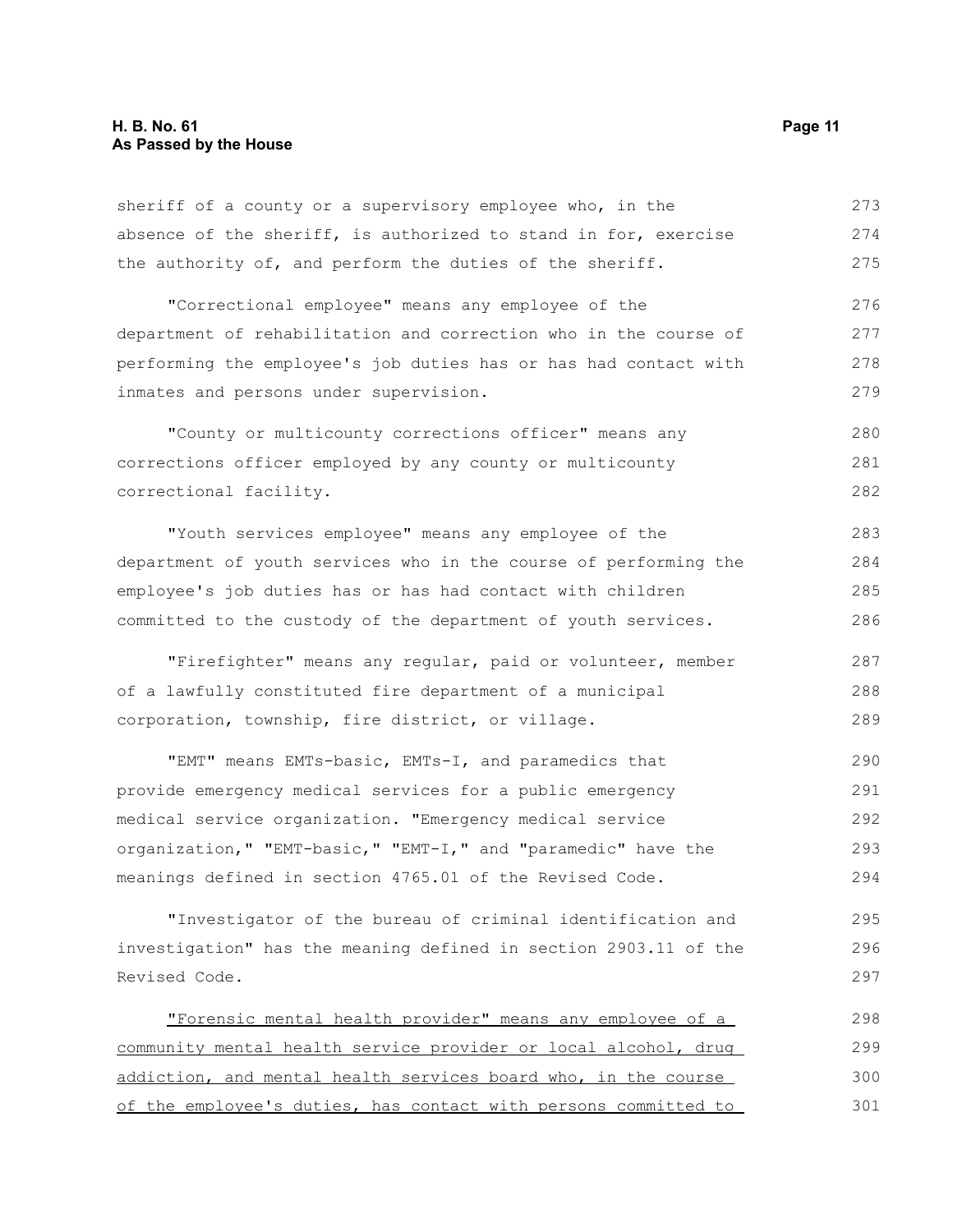#### **H. B. No. 61 Page 11 As Passed by the House**

sheriff of a county or a supervisory employee who, in the absence of the sheriff, is authorized to stand in for, exercise the authority of, and perform the duties of the sheriff. 273 274 275

"Correctional employee" means any employee of the department of rehabilitation and correction who in the course of performing the employee's job duties has or has had contact with inmates and persons under supervision. 276 277 278 279

"County or multicounty corrections officer" means any corrections officer employed by any county or multicounty correctional facility. 280 281 282

"Youth services employee" means any employee of the department of youth services who in the course of performing the employee's job duties has or has had contact with children committed to the custody of the department of youth services. 283 284 285 286

"Firefighter" means any regular, paid or volunteer, member of a lawfully constituted fire department of a municipal corporation, township, fire district, or village. 287 288 289

"EMT" means EMTs-basic, EMTs-I, and paramedics that provide emergency medical services for a public emergency medical service organization. "Emergency medical service organization," "EMT-basic," "EMT-I," and "paramedic" have the meanings defined in section 4765.01 of the Revised Code. 290 291 292 293 294

"Investigator of the bureau of criminal identification and investigation" has the meaning defined in section 2903.11 of the Revised Code. 295 296 297

"Forensic mental health provider" means any employee of a community mental health service provider or local alcohol, drug addiction, and mental health services board who, in the course of the employee's duties, has contact with persons committed to 298 299 300 301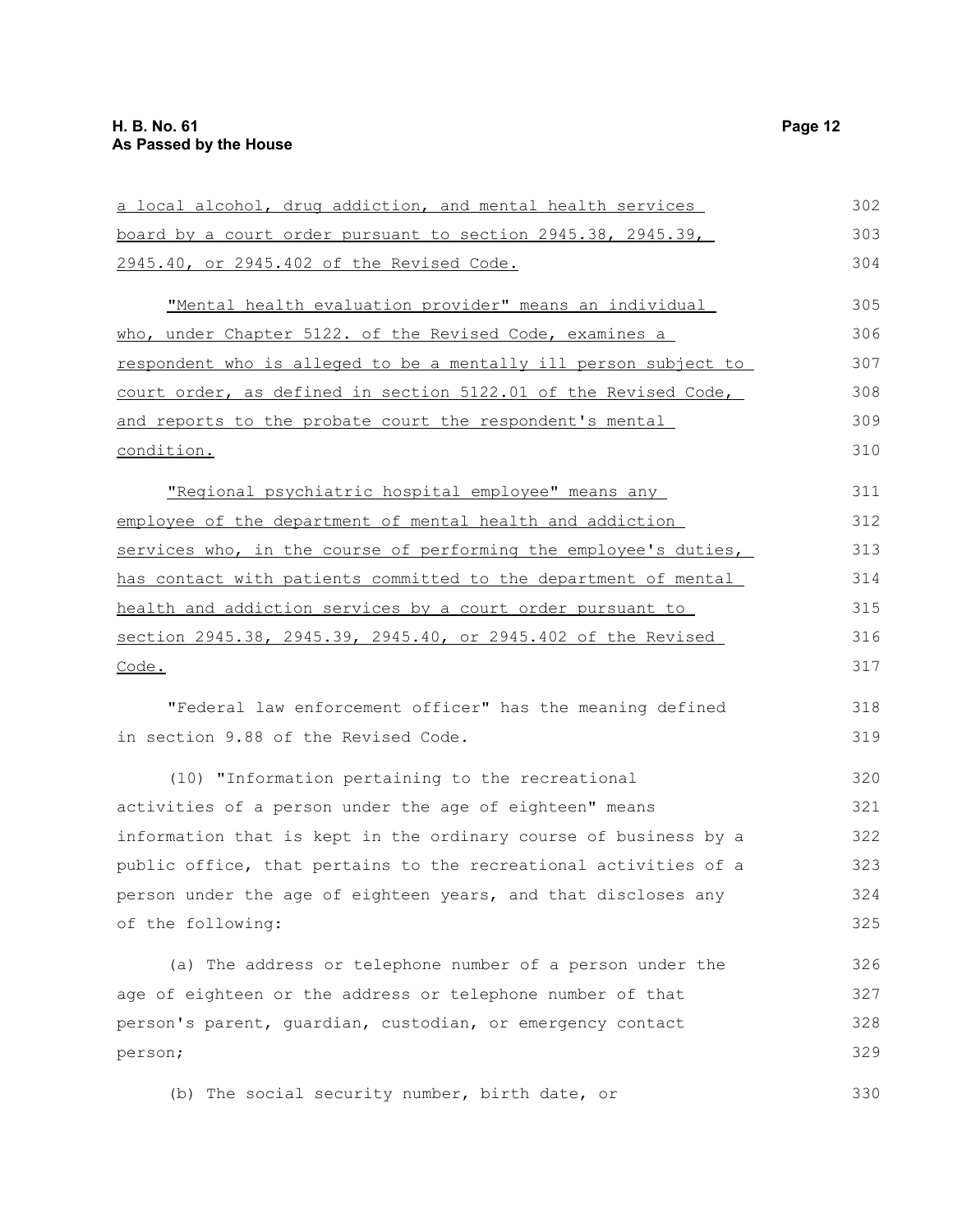| a local alcohol, drug addiction, and mental health services      | 302 |
|------------------------------------------------------------------|-----|
| board by a court order pursuant to section 2945.38, 2945.39,     | 303 |
| 2945.40, or 2945.402 of the Revised Code.                        | 304 |
| "Mental health evaluation provider" means an individual          | 305 |
| who, under Chapter 5122. of the Revised Code, examines a         | 306 |
| respondent who is alleged to be a mentally ill person subject to | 307 |
| court order, as defined in section 5122.01 of the Revised Code,  | 308 |
| and reports to the probate court the respondent's mental         | 309 |
| <u>condition.</u>                                                | 310 |
| "Regional psychiatric hospital employee" means any               | 311 |
| employee of the department of mental health and addiction        | 312 |
| services who, in the course of performing the employee's duties, | 313 |
| has contact with patients committed to the department of mental  | 314 |
| health and addiction services by a court order pursuant to       | 315 |
| section 2945.38, 2945.39, 2945.40, or 2945.402 of the Revised    | 316 |
| Code.                                                            | 317 |
| "Federal law enforcement officer" has the meaning defined        | 318 |
| in section 9.88 of the Revised Code.                             | 319 |
| (10) "Information pertaining to the recreational                 | 320 |
| activities of a person under the age of eighteen" means          | 321 |
| information that is kept in the ordinary course of business by a | 322 |
| public office, that pertains to the recreational activities of a | 323 |
| person under the age of eighteen years, and that discloses any   | 324 |
| of the following:                                                | 325 |
| (a) The address or telephone number of a person under the        | 326 |
| age of eighteen or the address or telephone number of that       | 327 |
| person's parent, quardian, custodian, or emergency contact       | 328 |
| person;                                                          | 329 |
| (b) The social security number, birth date, or                   | 330 |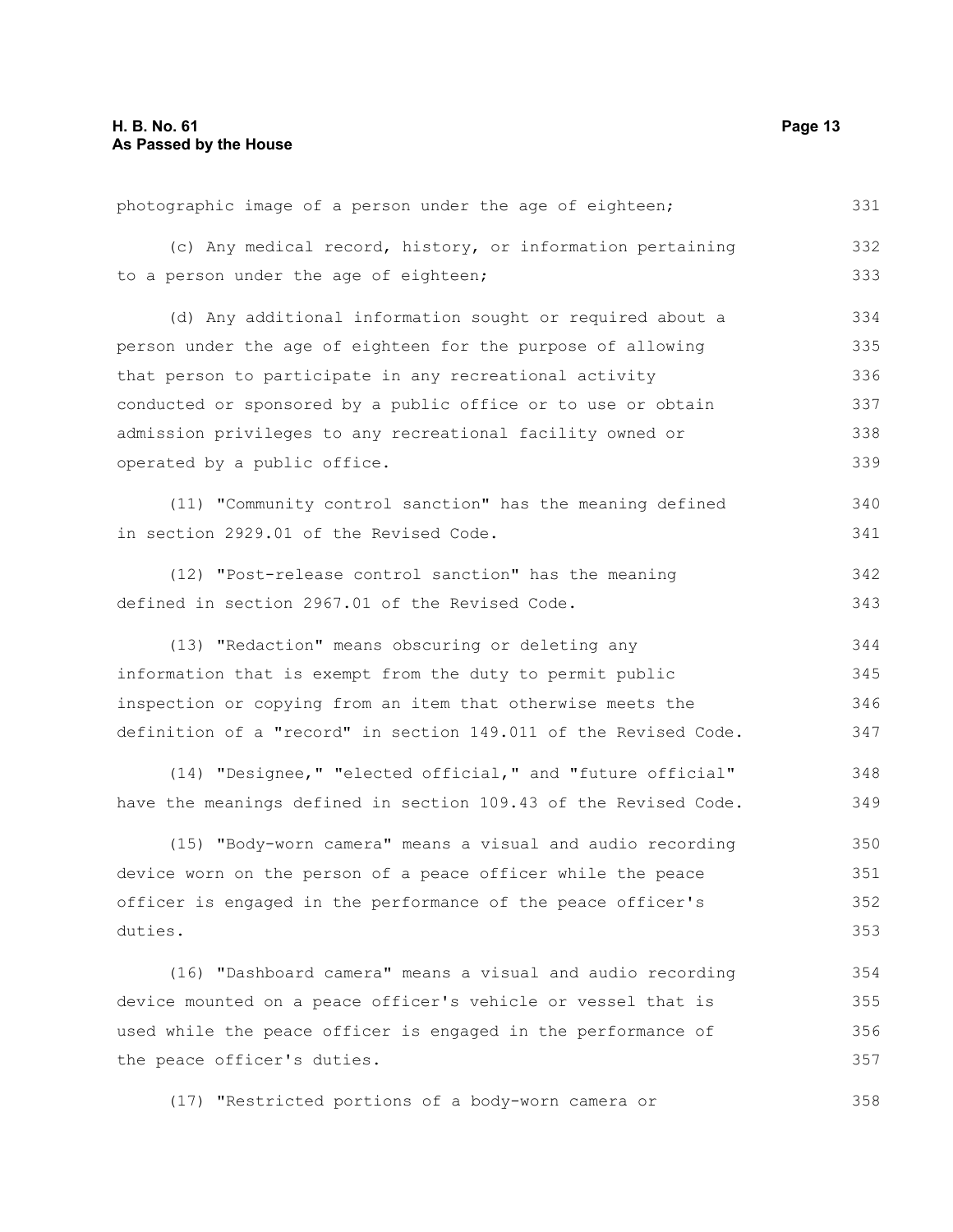photographic image of a person under the age of eighteen; (c) Any medical record, history, or information pertaining to a person under the age of eighteen; (d) Any additional information sought or required about a person under the age of eighteen for the purpose of allowing that person to participate in any recreational activity conducted or sponsored by a public office or to use or obtain admission privileges to any recreational facility owned or operated by a public office. (11) "Community control sanction" has the meaning defined in section 2929.01 of the Revised Code. (12) "Post-release control sanction" has the meaning defined in section 2967.01 of the Revised Code. (13) "Redaction" means obscuring or deleting any information that is exempt from the duty to permit public inspection or copying from an item that otherwise meets the definition of a "record" in section 149.011 of the Revised Code. (14) "Designee," "elected official," and "future official" have the meanings defined in section 109.43 of the Revised Code. (15) "Body-worn camera" means a visual and audio recording device worn on the person of a peace officer while the peace officer is engaged in the performance of the peace officer's duties. (16) "Dashboard camera" means a visual and audio recording device mounted on a peace officer's vehicle or vessel that is used while the peace officer is engaged in the performance of the peace officer's duties. 331 332 333 334 335 336 337 338 339 340 341 342 343 344 345 346 347 348 349 350 351 352 353 354 355 356 357

(17) "Restricted portions of a body-worn camera or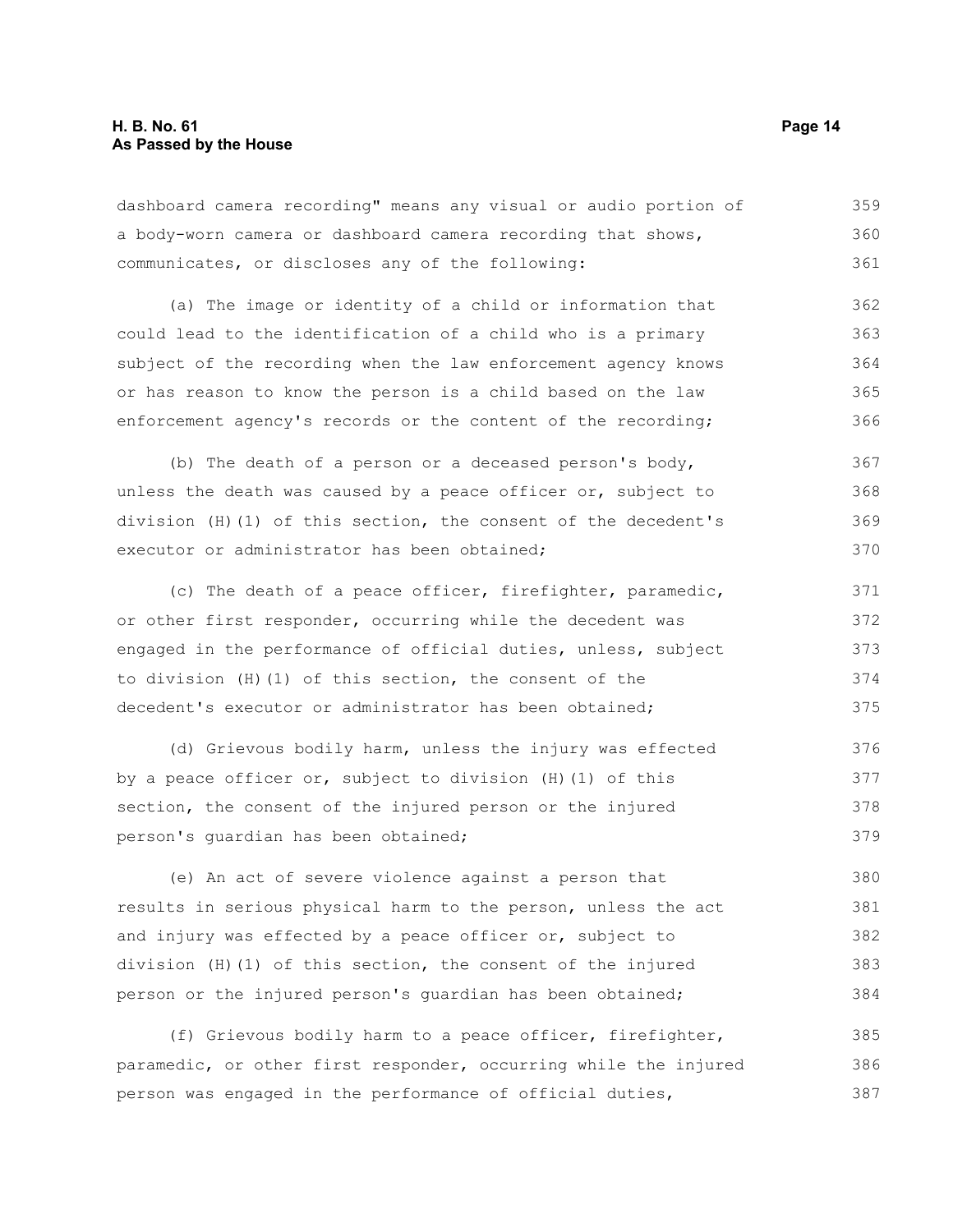dashboard camera recording" means any visual or audio portion of a body-worn camera or dashboard camera recording that shows, communicates, or discloses any of the following: 359 360 361

(a) The image or identity of a child or information that could lead to the identification of a child who is a primary subject of the recording when the law enforcement agency knows or has reason to know the person is a child based on the law enforcement agency's records or the content of the recording; 362 363 364 365 366

(b) The death of a person or a deceased person's body, unless the death was caused by a peace officer or, subject to division (H)(1) of this section, the consent of the decedent's executor or administrator has been obtained; 367 368 369 370

(c) The death of a peace officer, firefighter, paramedic, or other first responder, occurring while the decedent was engaged in the performance of official duties, unless, subject to division (H)(1) of this section, the consent of the decedent's executor or administrator has been obtained; 371 372 373 374 375

(d) Grievous bodily harm, unless the injury was effected by a peace officer or, subject to division (H)(1) of this section, the consent of the injured person or the injured person's guardian has been obtained; 376 377 378 379

(e) An act of severe violence against a person that results in serious physical harm to the person, unless the act and injury was effected by a peace officer or, subject to division (H)(1) of this section, the consent of the injured person or the injured person's guardian has been obtained; 380 381 382 383 384

(f) Grievous bodily harm to a peace officer, firefighter, paramedic, or other first responder, occurring while the injured person was engaged in the performance of official duties, 385 386 387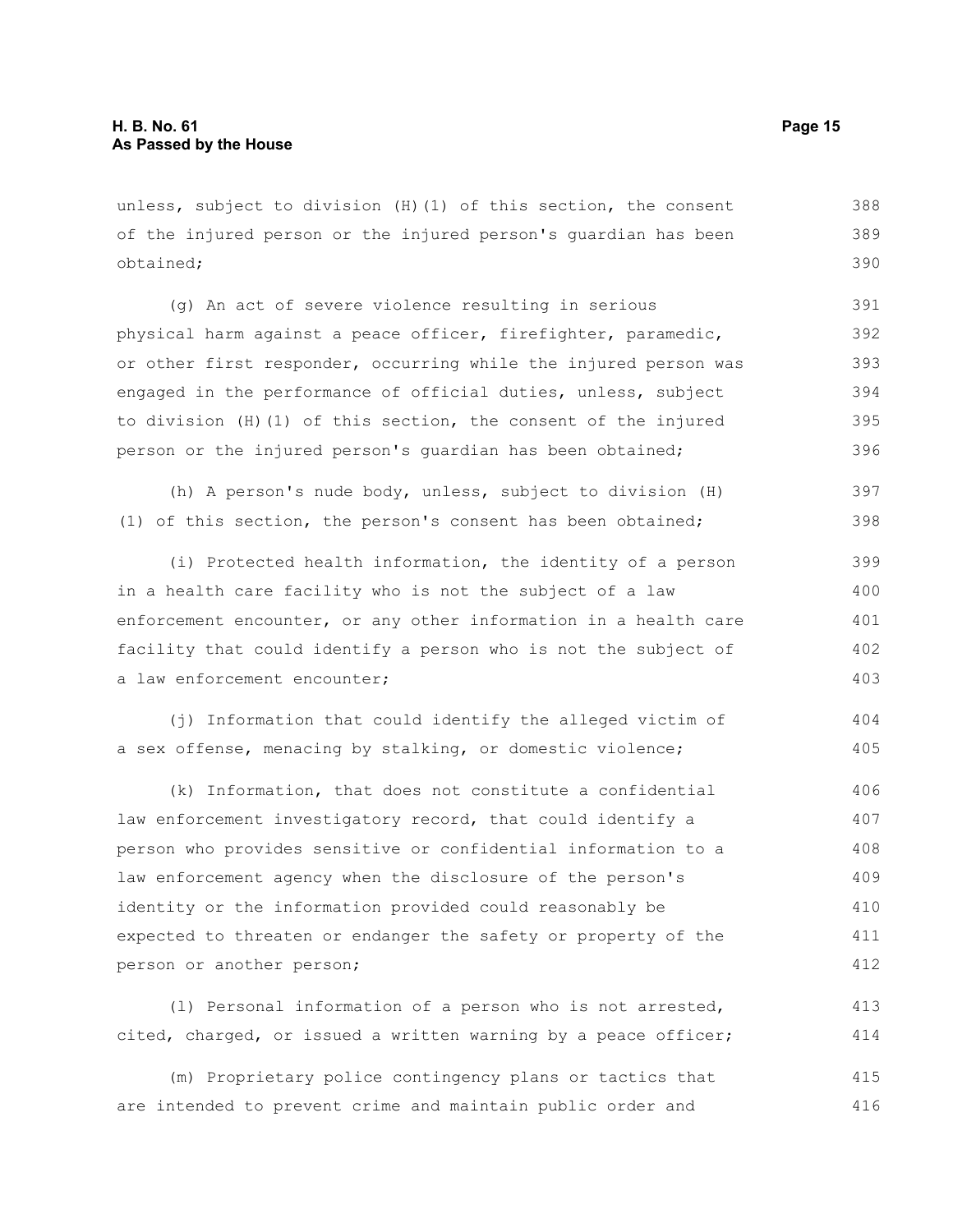unless, subject to division (H)(1) of this section, the consent of the injured person or the injured person's guardian has been obtained; 388 389 390

(g) An act of severe violence resulting in serious physical harm against a peace officer, firefighter, paramedic, or other first responder, occurring while the injured person was engaged in the performance of official duties, unless, subject to division (H)(1) of this section, the consent of the injured person or the injured person's guardian has been obtained; 391 392 393 394 395 396

(h) A person's nude body, unless, subject to division (H) (1) of this section, the person's consent has been obtained; 397 398

(i) Protected health information, the identity of a person in a health care facility who is not the subject of a law enforcement encounter, or any other information in a health care facility that could identify a person who is not the subject of a law enforcement encounter; 399 400 401 402 403

(j) Information that could identify the alleged victim of a sex offense, menacing by stalking, or domestic violence; 404 405

(k) Information, that does not constitute a confidential law enforcement investigatory record, that could identify a person who provides sensitive or confidential information to a law enforcement agency when the disclosure of the person's identity or the information provided could reasonably be expected to threaten or endanger the safety or property of the person or another person; 406 407 408 409 410 411 412

(l) Personal information of a person who is not arrested, cited, charged, or issued a written warning by a peace officer; 413 414

(m) Proprietary police contingency plans or tactics that are intended to prevent crime and maintain public order and 415 416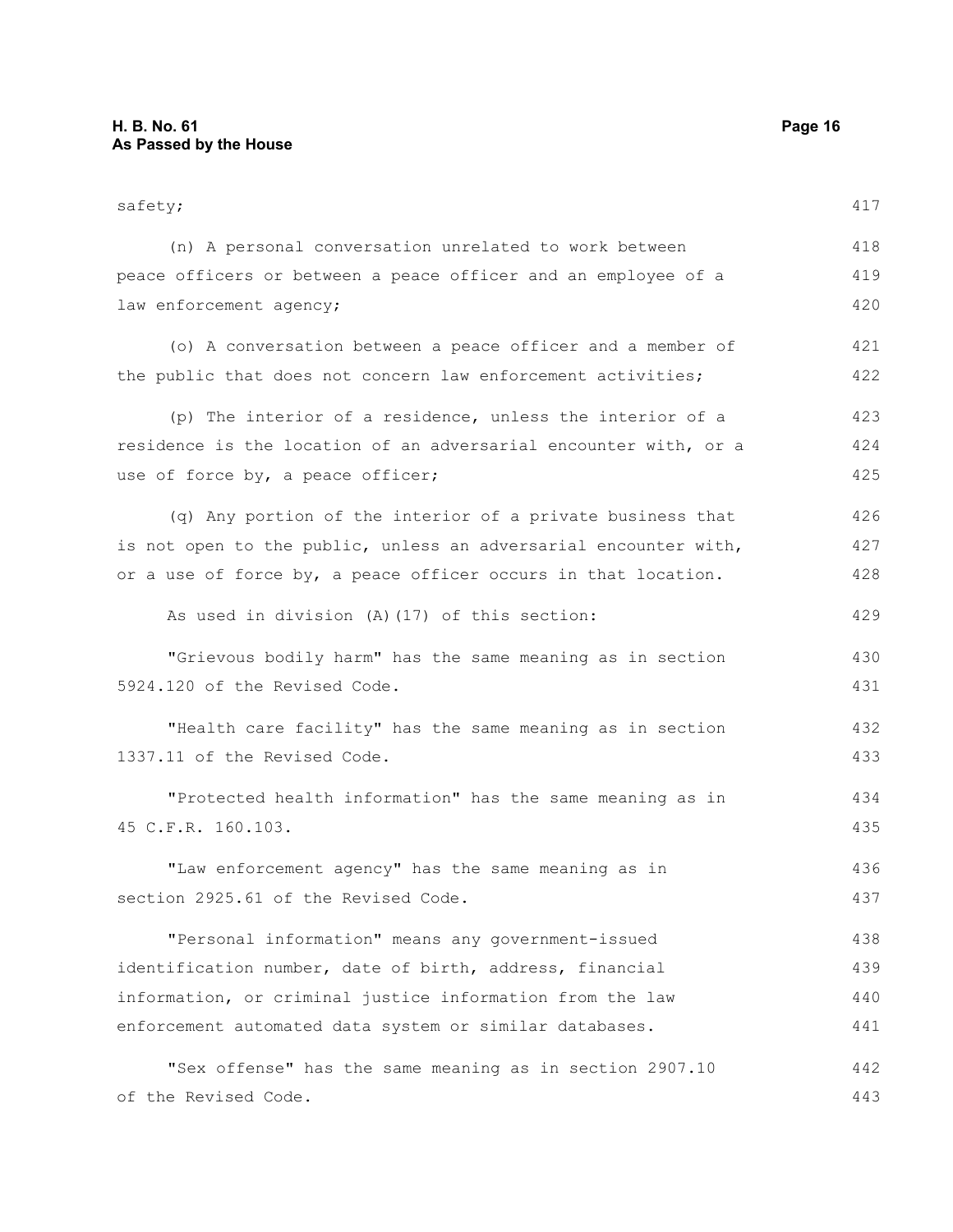| safety;                                                          |     |
|------------------------------------------------------------------|-----|
| (n) A personal conversation unrelated to work between            | 418 |
| peace officers or between a peace officer and an employee of a   |     |
| law enforcement agency;                                          |     |
| (o) A conversation between a peace officer and a member of       | 421 |
| the public that does not concern law enforcement activities;     | 422 |
| (p) The interior of a residence, unless the interior of a        | 423 |
| residence is the location of an adversarial encounter with, or a |     |
| use of force by, a peace officer;                                | 425 |
| (q) Any portion of the interior of a private business that       | 426 |
| is not open to the public, unless an adversarial encounter with, | 427 |
| or a use of force by, a peace officer occurs in that location.   | 428 |
| As used in division (A) (17) of this section:                    | 429 |
| "Grievous bodily harm" has the same meaning as in section        | 430 |
| 5924.120 of the Revised Code.                                    | 431 |
| "Health care facility" has the same meaning as in section        | 432 |
| 1337.11 of the Revised Code.                                     | 433 |
| "Protected health information" has the same meaning as in        | 434 |
| 45 C.F.R. 160.103.                                               | 435 |
| "Law enforcement agency" has the same meaning as in              | 436 |
| section 2925.61 of the Revised Code.                             | 437 |
| "Personal information" means any government-issued               | 438 |
| identification number, date of birth, address, financial         | 439 |
| information, or criminal justice information from the law        |     |
| enforcement automated data system or similar databases.          | 441 |
| "Sex offense" has the same meaning as in section 2907.10         | 442 |
| of the Revised Code.                                             | 443 |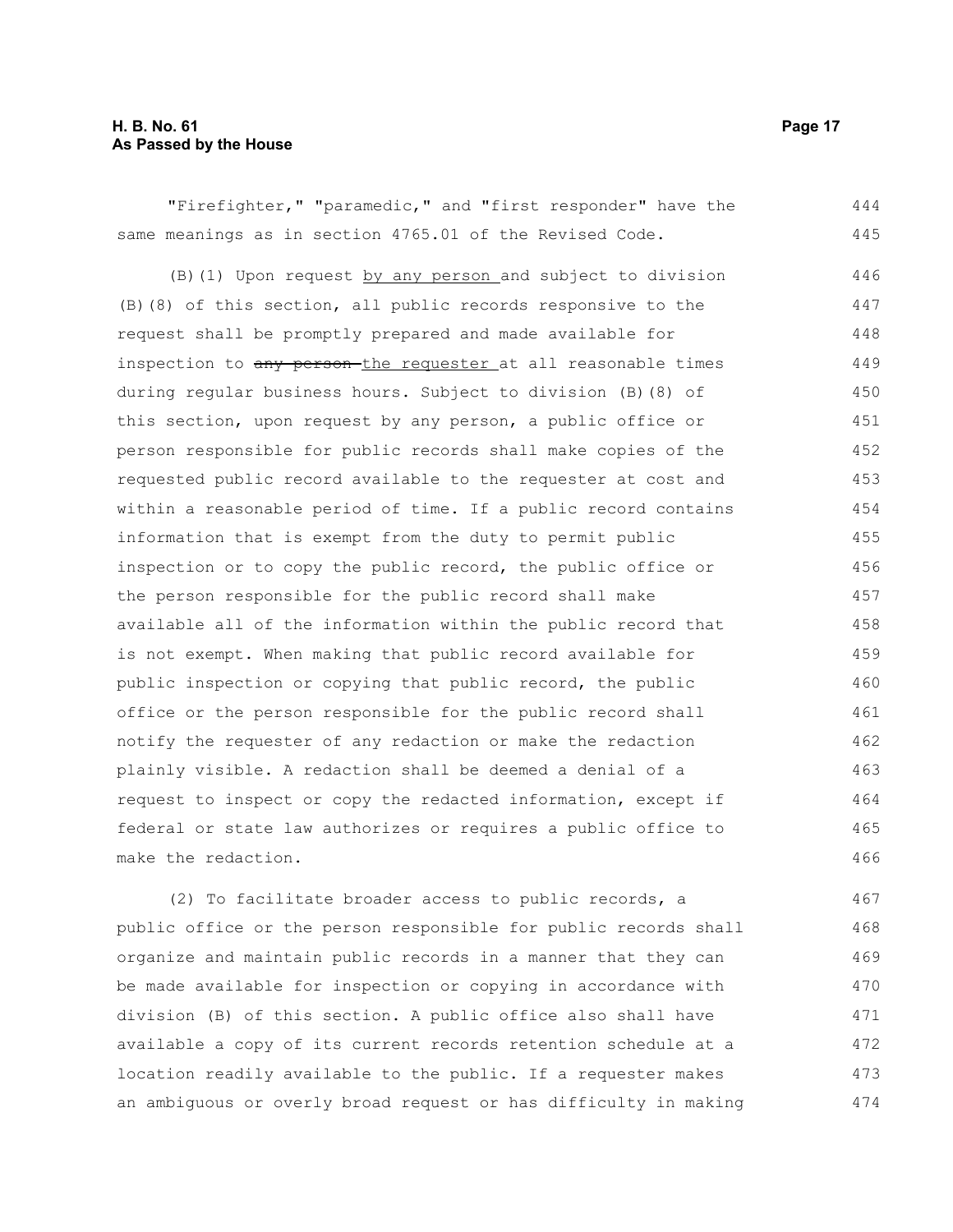#### **H. B. No. 61 Page 17 As Passed by the House**

"Firefighter," "paramedic," and "first responder" have the same meanings as in section 4765.01 of the Revised Code. 444 445

(B)(1) Upon request by any person and subject to division (B)(8) of this section, all public records responsive to the request shall be promptly prepared and made available for inspection to any person-the requester at all reasonable times during regular business hours. Subject to division (B)(8) of this section, upon request by any person, a public office or person responsible for public records shall make copies of the requested public record available to the requester at cost and within a reasonable period of time. If a public record contains information that is exempt from the duty to permit public inspection or to copy the public record, the public office or the person responsible for the public record shall make available all of the information within the public record that is not exempt. When making that public record available for public inspection or copying that public record, the public office or the person responsible for the public record shall notify the requester of any redaction or make the redaction plainly visible. A redaction shall be deemed a denial of a request to inspect or copy the redacted information, except if federal or state law authorizes or requires a public office to make the redaction. 446 447 448 449 450 451 452 453 454 455 456 457 458 459 460 461 462 463 464 465 466

(2) To facilitate broader access to public records, a public office or the person responsible for public records shall organize and maintain public records in a manner that they can be made available for inspection or copying in accordance with division (B) of this section. A public office also shall have available a copy of its current records retention schedule at a location readily available to the public. If a requester makes an ambiguous or overly broad request or has difficulty in making 467 468 469 470 471 472 473 474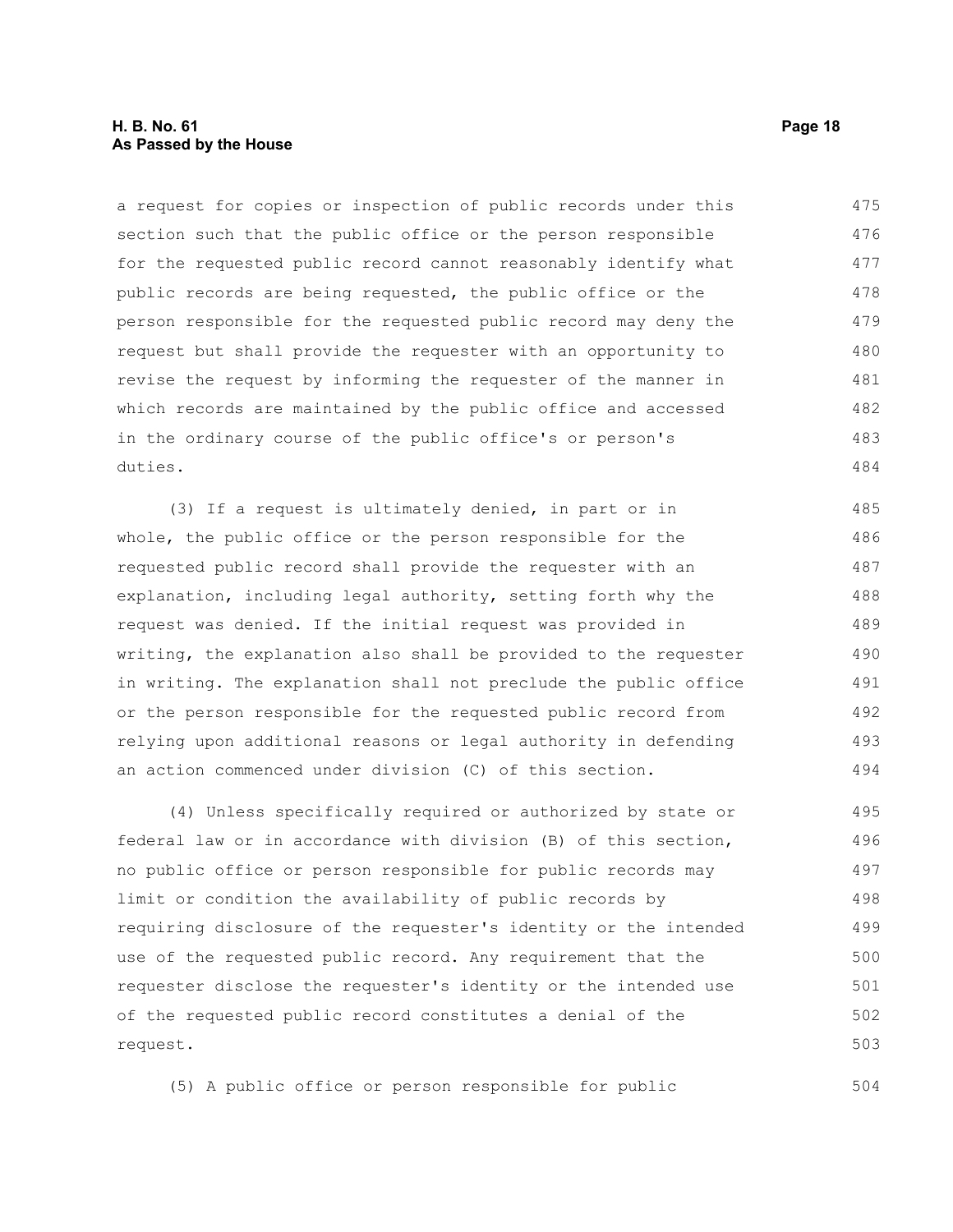#### **H. B. No. 61 Page 18 As Passed by the House**

a request for copies or inspection of public records under this section such that the public office or the person responsible for the requested public record cannot reasonably identify what public records are being requested, the public office or the person responsible for the requested public record may deny the request but shall provide the requester with an opportunity to revise the request by informing the requester of the manner in which records are maintained by the public office and accessed in the ordinary course of the public office's or person's duties. 475 476 477 478 479 480 481 482 483 484

(3) If a request is ultimately denied, in part or in whole, the public office or the person responsible for the requested public record shall provide the requester with an explanation, including legal authority, setting forth why the request was denied. If the initial request was provided in writing, the explanation also shall be provided to the requester in writing. The explanation shall not preclude the public office or the person responsible for the requested public record from relying upon additional reasons or legal authority in defending an action commenced under division (C) of this section. 485 486 487 488 489 490 491 492 493 494

(4) Unless specifically required or authorized by state or federal law or in accordance with division (B) of this section, no public office or person responsible for public records may limit or condition the availability of public records by requiring disclosure of the requester's identity or the intended use of the requested public record. Any requirement that the requester disclose the requester's identity or the intended use of the requested public record constitutes a denial of the request. 495 496 497 498 499 500 501 502 503

(5) A public office or person responsible for public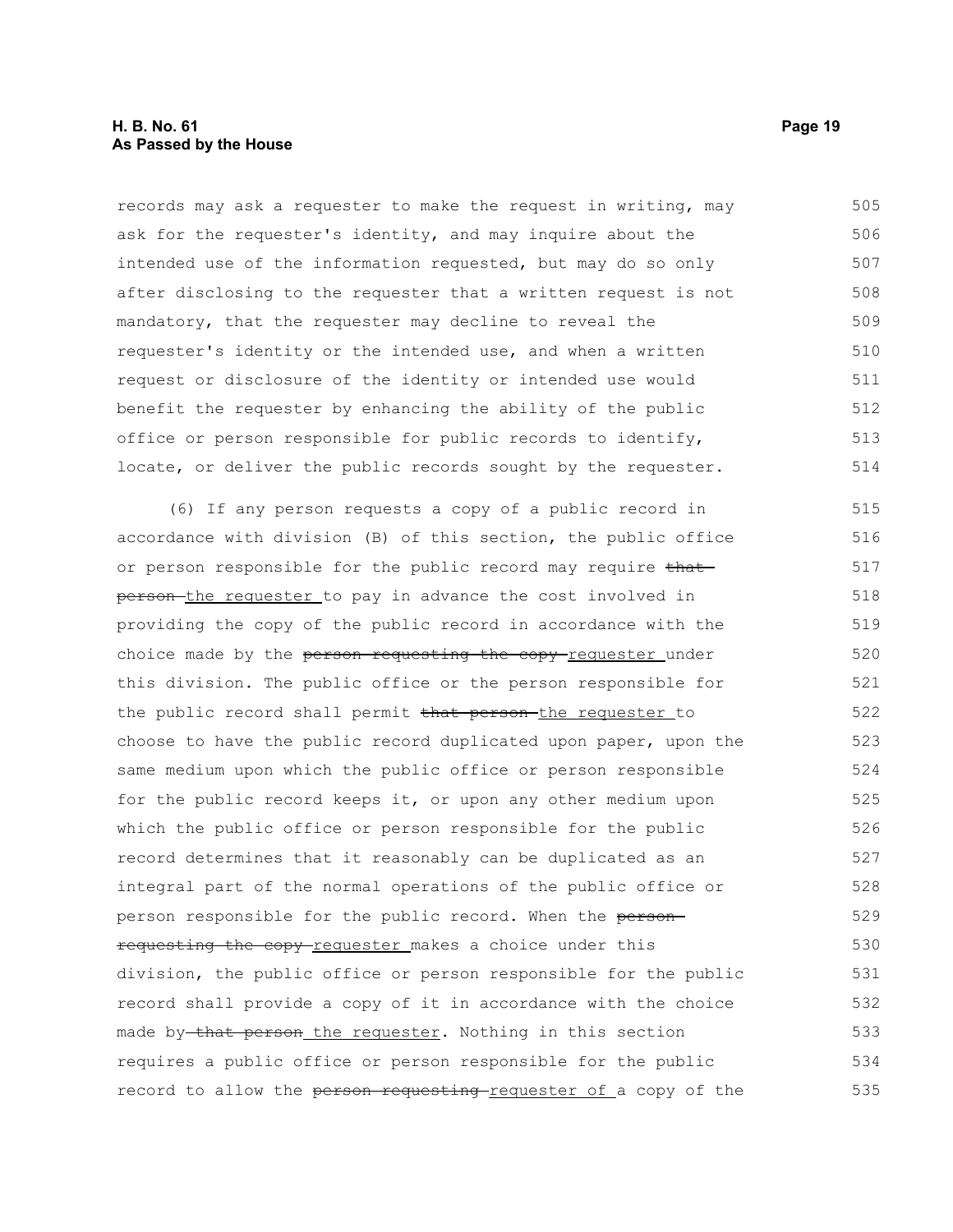#### **H. B. No. 61 Page 19 As Passed by the House**

records may ask a requester to make the request in writing, may ask for the requester's identity, and may inquire about the intended use of the information requested, but may do so only after disclosing to the requester that a written request is not mandatory, that the requester may decline to reveal the requester's identity or the intended use, and when a written request or disclosure of the identity or intended use would benefit the requester by enhancing the ability of the public office or person responsible for public records to identify, locate, or deliver the public records sought by the requester. 505 506 507 508 509 510 511 512 513 514

(6) If any person requests a copy of a public record in accordance with division (B) of this section, the public office or person responsible for the public record may require that person-the requester to pay in advance the cost involved in providing the copy of the public record in accordance with the choice made by the person requesting the copy requester under this division. The public office or the person responsible for the public record shall permit that person-the requester to choose to have the public record duplicated upon paper, upon the same medium upon which the public office or person responsible for the public record keeps it, or upon any other medium upon which the public office or person responsible for the public record determines that it reasonably can be duplicated as an integral part of the normal operations of the public office or person responsible for the public record. When the personrequesting the copy-requester makes a choice under this division, the public office or person responsible for the public record shall provide a copy of it in accordance with the choice made by that person the requester. Nothing in this section requires a public office or person responsible for the public record to allow the person requesting requester of a copy of the 515 516 517 518 519 520 521 522 523 524 525 526 527 528 529 530 531 532 533 534 535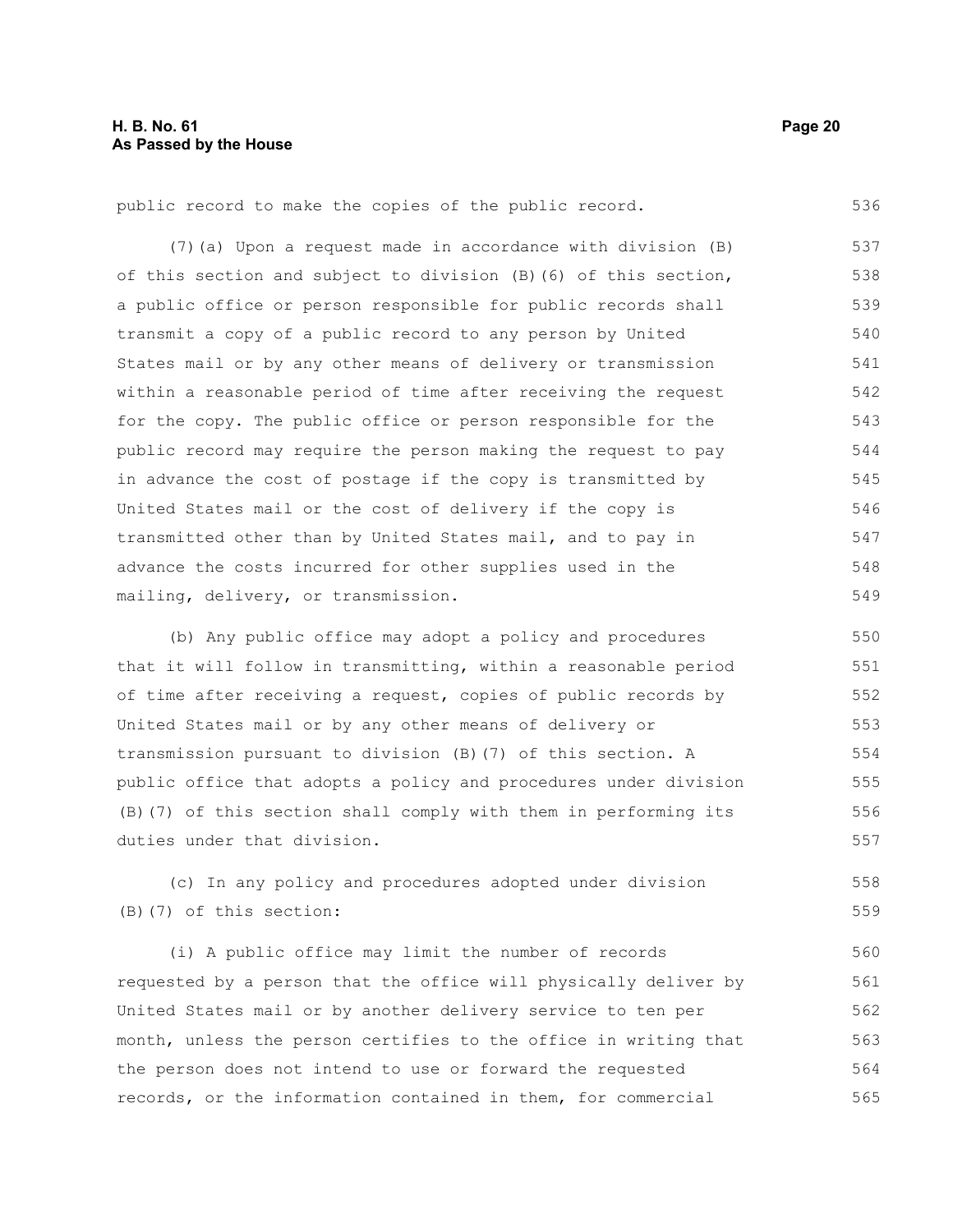public record to make the copies of the public record.

(7)(a) Upon a request made in accordance with division (B) of this section and subject to division (B)(6) of this section, a public office or person responsible for public records shall transmit a copy of a public record to any person by United States mail or by any other means of delivery or transmission within a reasonable period of time after receiving the request for the copy. The public office or person responsible for the public record may require the person making the request to pay in advance the cost of postage if the copy is transmitted by United States mail or the cost of delivery if the copy is transmitted other than by United States mail, and to pay in advance the costs incurred for other supplies used in the mailing, delivery, or transmission. 537 538 539 540 541 542 543 544 545 546 547 548 549

(b) Any public office may adopt a policy and procedures that it will follow in transmitting, within a reasonable period of time after receiving a request, copies of public records by United States mail or by any other means of delivery or transmission pursuant to division (B)(7) of this section. A public office that adopts a policy and procedures under division (B)(7) of this section shall comply with them in performing its duties under that division.

(c) In any policy and procedures adopted under division (B)(7) of this section: 558 559

(i) A public office may limit the number of records requested by a person that the office will physically deliver by United States mail or by another delivery service to ten per month, unless the person certifies to the office in writing that the person does not intend to use or forward the requested records, or the information contained in them, for commercial 560 561 562 563 564 565

536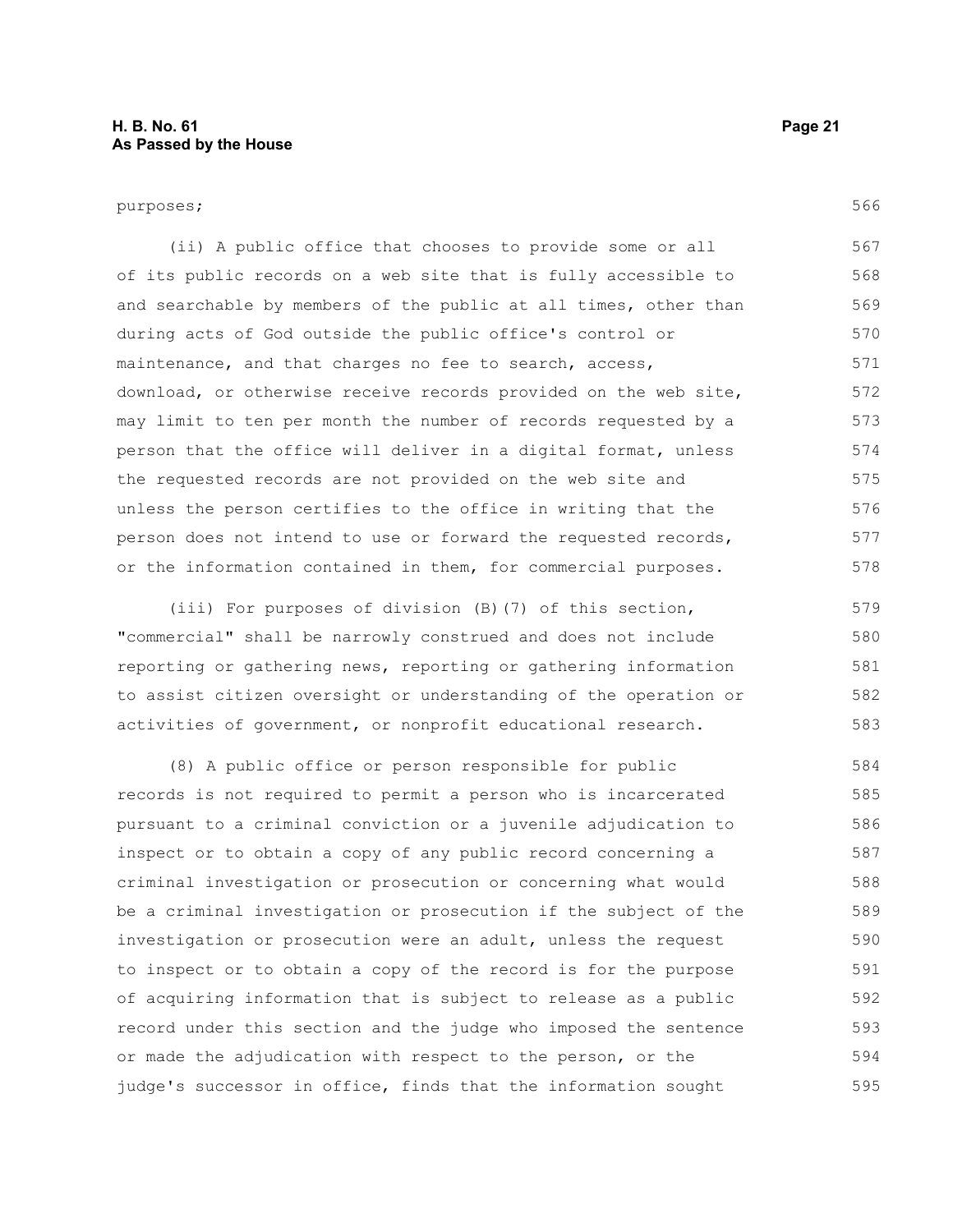#### purposes;

(ii) A public office that chooses to provide some or all of its public records on a web site that is fully accessible to and searchable by members of the public at all times, other than during acts of God outside the public office's control or maintenance, and that charges no fee to search, access, download, or otherwise receive records provided on the web site, may limit to ten per month the number of records requested by a person that the office will deliver in a digital format, unless the requested records are not provided on the web site and unless the person certifies to the office in writing that the person does not intend to use or forward the requested records, or the information contained in them, for commercial purposes. 567 568 569 570 571 572 573 574 575 576 577 578

(iii) For purposes of division (B)(7) of this section, "commercial" shall be narrowly construed and does not include reporting or gathering news, reporting or gathering information to assist citizen oversight or understanding of the operation or activities of government, or nonprofit educational research. 579 580 581 582 583

(8) A public office or person responsible for public records is not required to permit a person who is incarcerated pursuant to a criminal conviction or a juvenile adjudication to inspect or to obtain a copy of any public record concerning a criminal investigation or prosecution or concerning what would be a criminal investigation or prosecution if the subject of the investigation or prosecution were an adult, unless the request to inspect or to obtain a copy of the record is for the purpose of acquiring information that is subject to release as a public record under this section and the judge who imposed the sentence or made the adjudication with respect to the person, or the judge's successor in office, finds that the information sought 584 585 586 587 588 589 590 591 592 593 594 595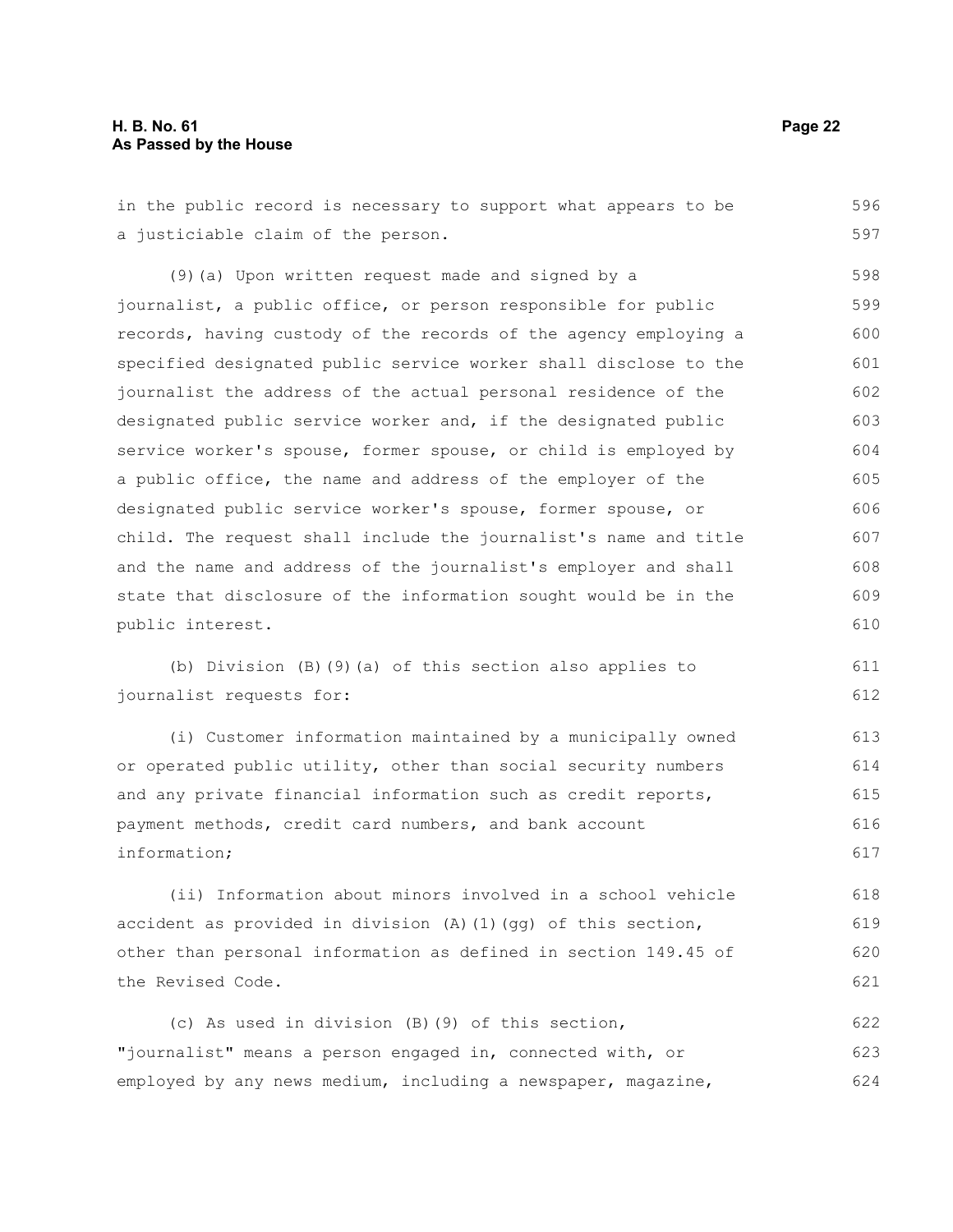#### **H. B. No. 61 Page 22 As Passed by the House**

in the public record is necessary to support what appears to be a justiciable claim of the person. (9)(a) Upon written request made and signed by a journalist, a public office, or person responsible for public records, having custody of the records of the agency employing a specified designated public service worker shall disclose to the journalist the address of the actual personal residence of the designated public service worker and, if the designated public service worker's spouse, former spouse, or child is employed by a public office, the name and address of the employer of the designated public service worker's spouse, former spouse, or child. The request shall include the journalist's name and title and the name and address of the journalist's employer and shall state that disclosure of the information sought would be in the public interest. (b) Division (B)(9)(a) of this section also applies to journalist requests for: (i) Customer information maintained by a municipally owned or operated public utility, other than social security numbers and any private financial information such as credit reports, payment methods, credit card numbers, and bank account information; (ii) Information about minors involved in a school vehicle accident as provided in division (A)(1)(gg) of this section, other than personal information as defined in section 149.45 of the Revised Code. 596 597 598 599 600 601 602 603 604 605 606 607 608 609 610 611 612 613 614 615 616 617 618 619 620 621

(c) As used in division (B)(9) of this section, "journalist" means a person engaged in, connected with, or employed by any news medium, including a newspaper, magazine, 622 623 624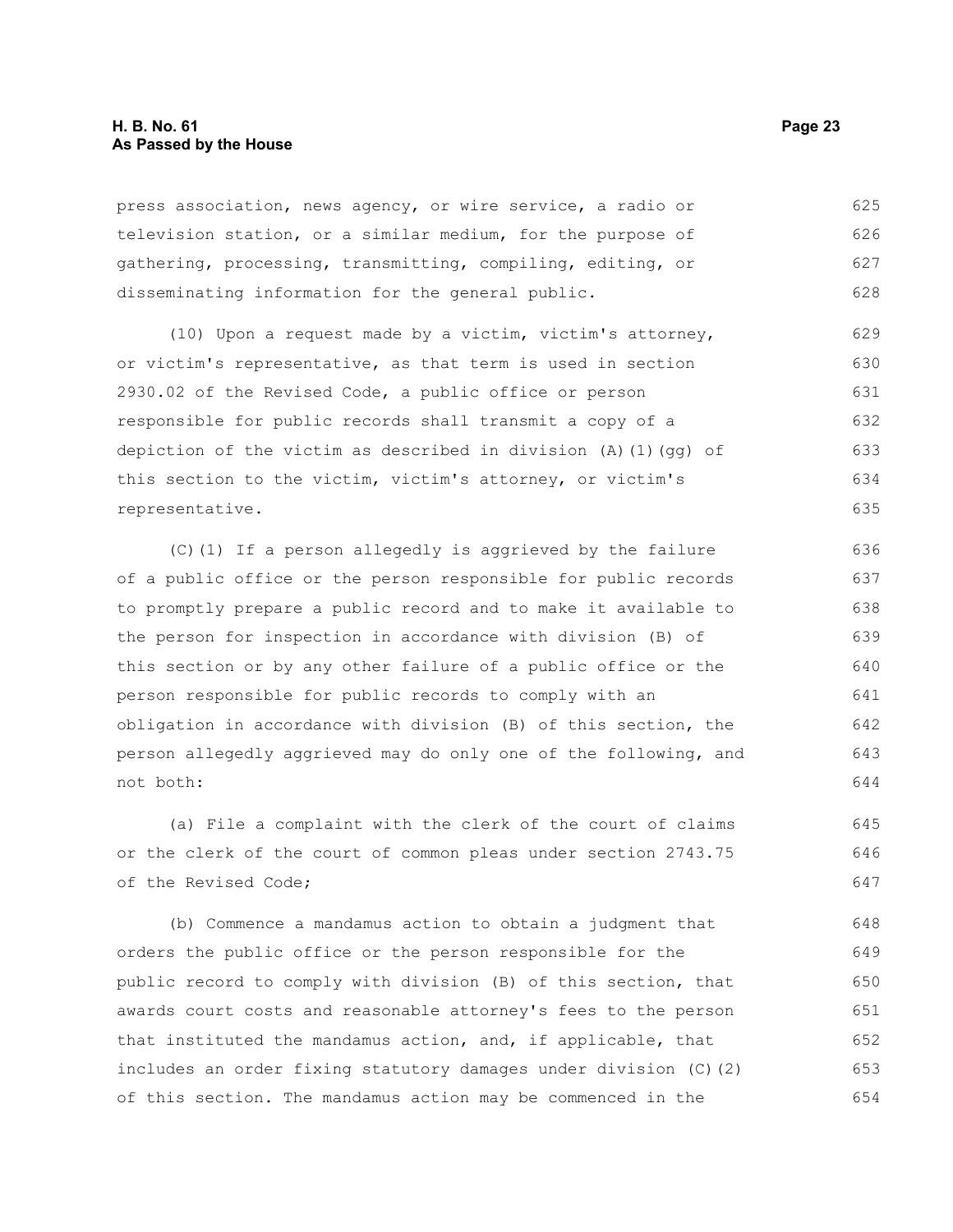#### **H. B. No. 61 Page 23 As Passed by the House**

press association, news agency, or wire service, a radio or television station, or a similar medium, for the purpose of gathering, processing, transmitting, compiling, editing, or disseminating information for the general public. 625 626 627 628

(10) Upon a request made by a victim, victim's attorney, or victim's representative, as that term is used in section 2930.02 of the Revised Code, a public office or person responsible for public records shall transmit a copy of a depiction of the victim as described in division  $(A)$   $(1)$   $(qq)$  of this section to the victim, victim's attorney, or victim's representative. 629 630 631 632 633 634 635

(C)(1) If a person allegedly is aggrieved by the failure of a public office or the person responsible for public records to promptly prepare a public record and to make it available to the person for inspection in accordance with division (B) of this section or by any other failure of a public office or the person responsible for public records to comply with an obligation in accordance with division (B) of this section, the person allegedly aggrieved may do only one of the following, and not both:

(a) File a complaint with the clerk of the court of claims or the clerk of the court of common pleas under section 2743.75 of the Revised Code; 645 646 647

(b) Commence a mandamus action to obtain a judgment that orders the public office or the person responsible for the public record to comply with division (B) of this section, that awards court costs and reasonable attorney's fees to the person that instituted the mandamus action, and, if applicable, that includes an order fixing statutory damages under division (C)(2) of this section. The mandamus action may be commenced in the 648 649 650 651 652 653 654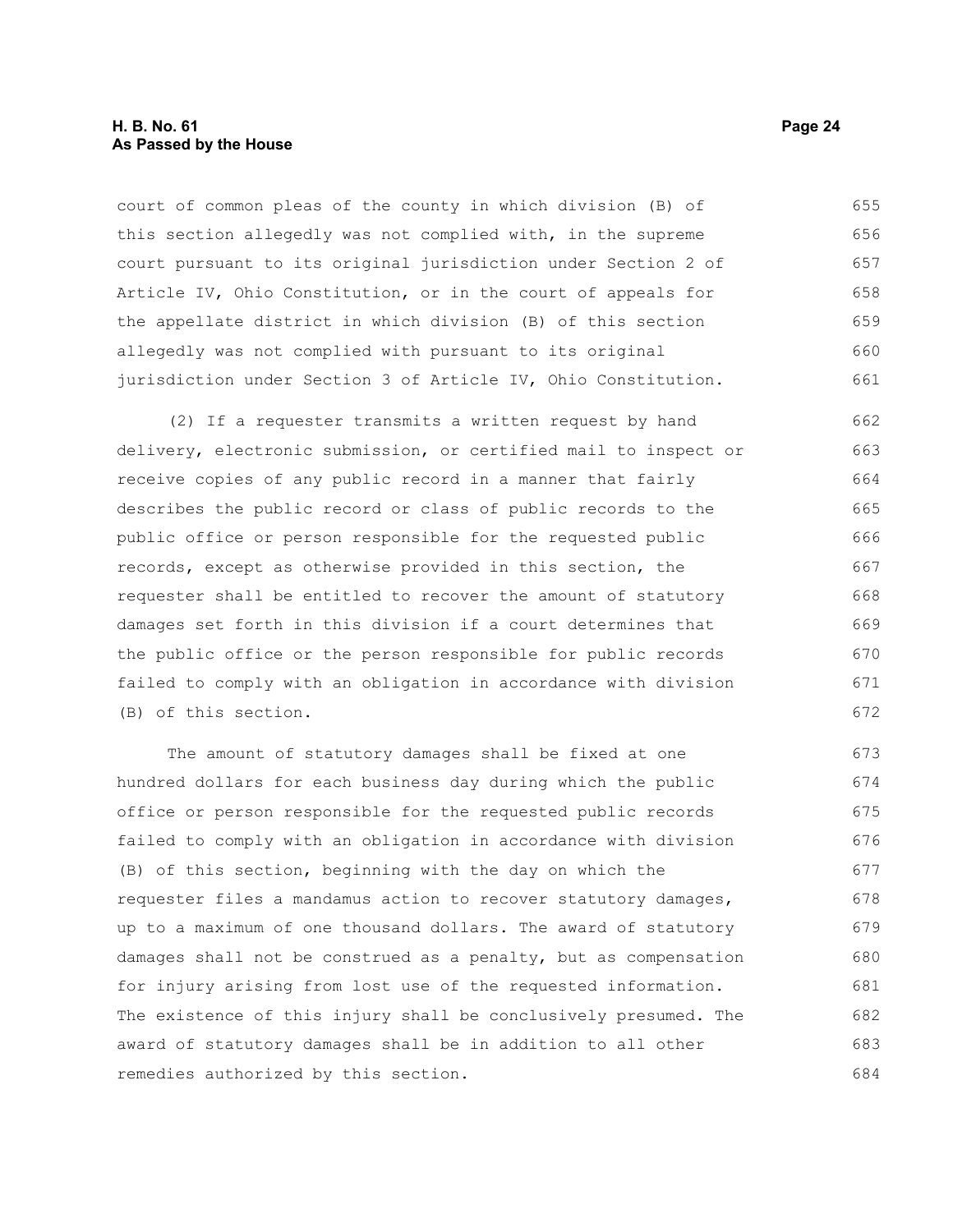#### **H. B. No. 61 Page 24 As Passed by the House**

court of common pleas of the county in which division (B) of this section allegedly was not complied with, in the supreme court pursuant to its original jurisdiction under Section 2 of Article IV, Ohio Constitution, or in the court of appeals for the appellate district in which division (B) of this section allegedly was not complied with pursuant to its original jurisdiction under Section 3 of Article IV, Ohio Constitution. 655 656 657 658 659 660 661

(2) If a requester transmits a written request by hand delivery, electronic submission, or certified mail to inspect or receive copies of any public record in a manner that fairly describes the public record or class of public records to the public office or person responsible for the requested public records, except as otherwise provided in this section, the requester shall be entitled to recover the amount of statutory damages set forth in this division if a court determines that the public office or the person responsible for public records failed to comply with an obligation in accordance with division (B) of this section. 662 663 664 665 666 667 668 669 670 671 672

The amount of statutory damages shall be fixed at one hundred dollars for each business day during which the public office or person responsible for the requested public records failed to comply with an obligation in accordance with division (B) of this section, beginning with the day on which the requester files a mandamus action to recover statutory damages, up to a maximum of one thousand dollars. The award of statutory damages shall not be construed as a penalty, but as compensation for injury arising from lost use of the requested information. The existence of this injury shall be conclusively presumed. The award of statutory damages shall be in addition to all other remedies authorized by this section. 673 674 675 676 677 678 679 680 681 682 683 684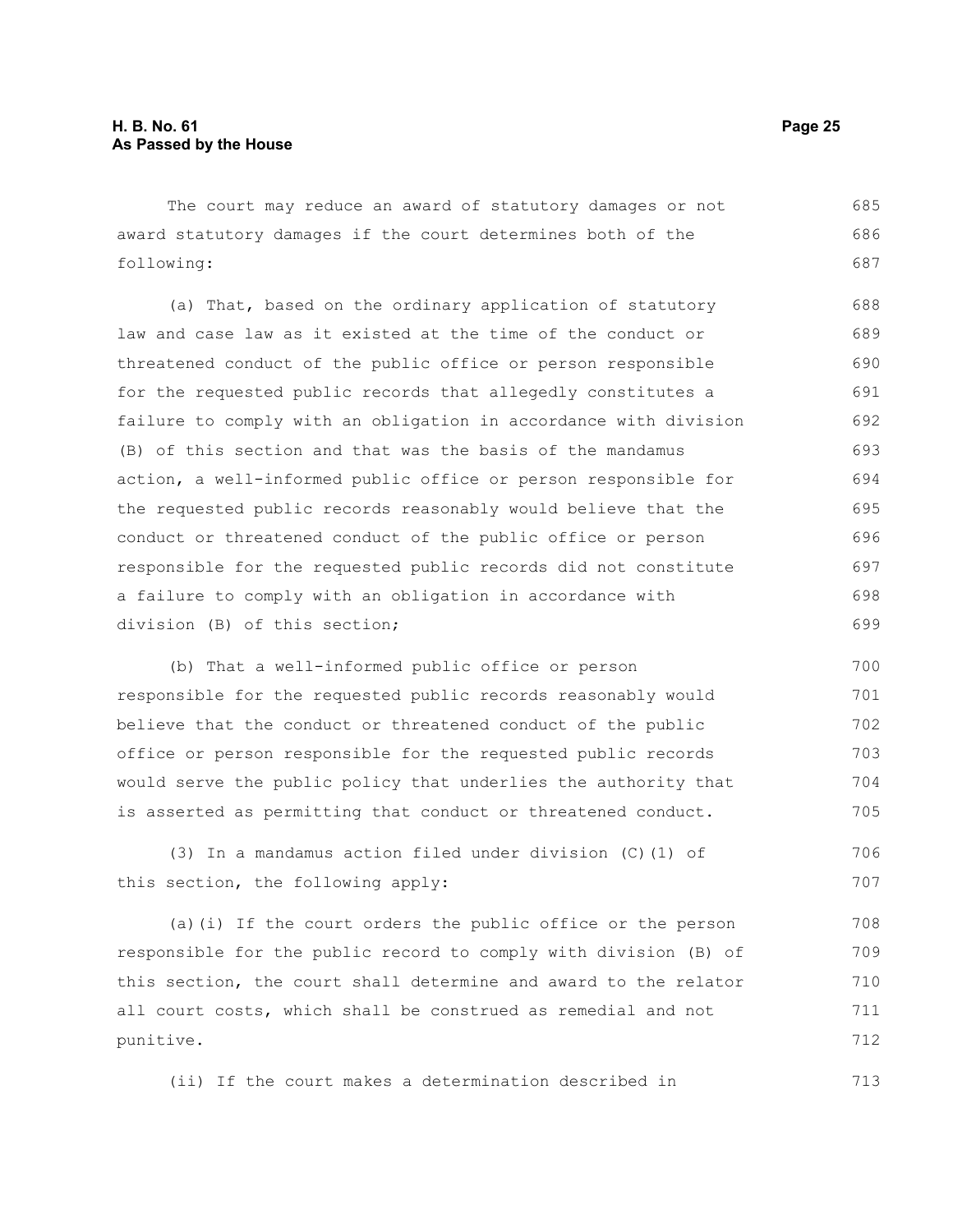The court may reduce an award of statutory damages or not award statutory damages if the court determines both of the following: 685 686 687

(a) That, based on the ordinary application of statutory law and case law as it existed at the time of the conduct or threatened conduct of the public office or person responsible for the requested public records that allegedly constitutes a failure to comply with an obligation in accordance with division (B) of this section and that was the basis of the mandamus action, a well-informed public office or person responsible for the requested public records reasonably would believe that the conduct or threatened conduct of the public office or person responsible for the requested public records did not constitute a failure to comply with an obligation in accordance with division (B) of this section; 688 689 690 691 692 693 694 695 696 697 698 699

(b) That a well-informed public office or person responsible for the requested public records reasonably would believe that the conduct or threatened conduct of the public office or person responsible for the requested public records would serve the public policy that underlies the authority that is asserted as permitting that conduct or threatened conduct. 700 701 702 703 704 705

(3) In a mandamus action filed under division (C)(1) of this section, the following apply:

(a)(i) If the court orders the public office or the person responsible for the public record to comply with division (B) of this section, the court shall determine and award to the relator all court costs, which shall be construed as remedial and not punitive. 708 709 710 711 712

(ii) If the court makes a determination described in

713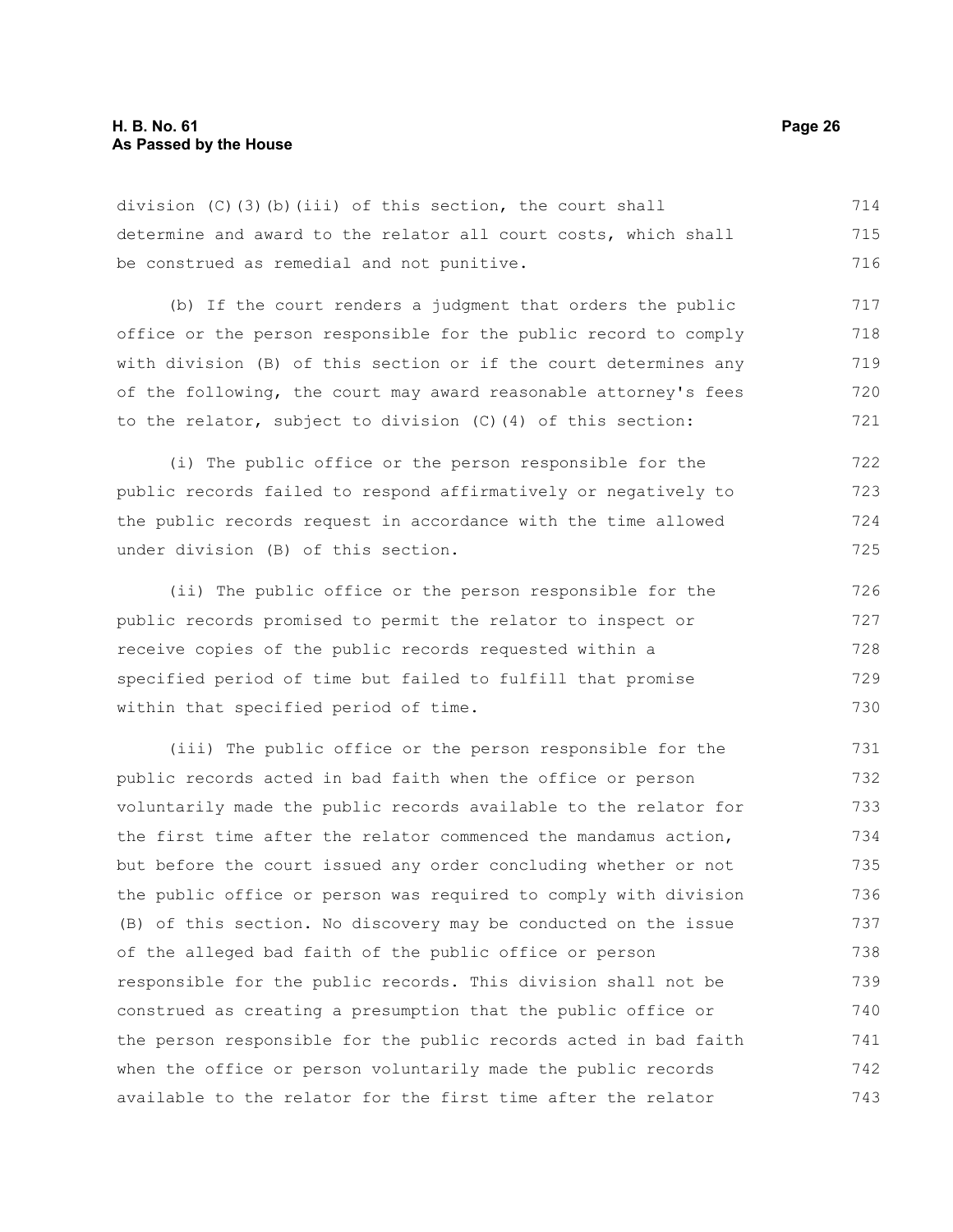division (C)(3)(b)(iii) of this section, the court shall determine and award to the relator all court costs, which shall be construed as remedial and not punitive. 714 715 716

(b) If the court renders a judgment that orders the public office or the person responsible for the public record to comply with division (B) of this section or if the court determines any of the following, the court may award reasonable attorney's fees to the relator, subject to division (C)(4) of this section: 717 718 719 720 721

(i) The public office or the person responsible for the public records failed to respond affirmatively or negatively to the public records request in accordance with the time allowed under division (B) of this section. 722 723 724 725

(ii) The public office or the person responsible for the public records promised to permit the relator to inspect or receive copies of the public records requested within a specified period of time but failed to fulfill that promise within that specified period of time. 726 727 728 729 730

(iii) The public office or the person responsible for the public records acted in bad faith when the office or person voluntarily made the public records available to the relator for the first time after the relator commenced the mandamus action, but before the court issued any order concluding whether or not the public office or person was required to comply with division (B) of this section. No discovery may be conducted on the issue of the alleged bad faith of the public office or person responsible for the public records. This division shall not be construed as creating a presumption that the public office or the person responsible for the public records acted in bad faith when the office or person voluntarily made the public records available to the relator for the first time after the relator 731 732 733 734 735 736 737 738 739 740 741 742 743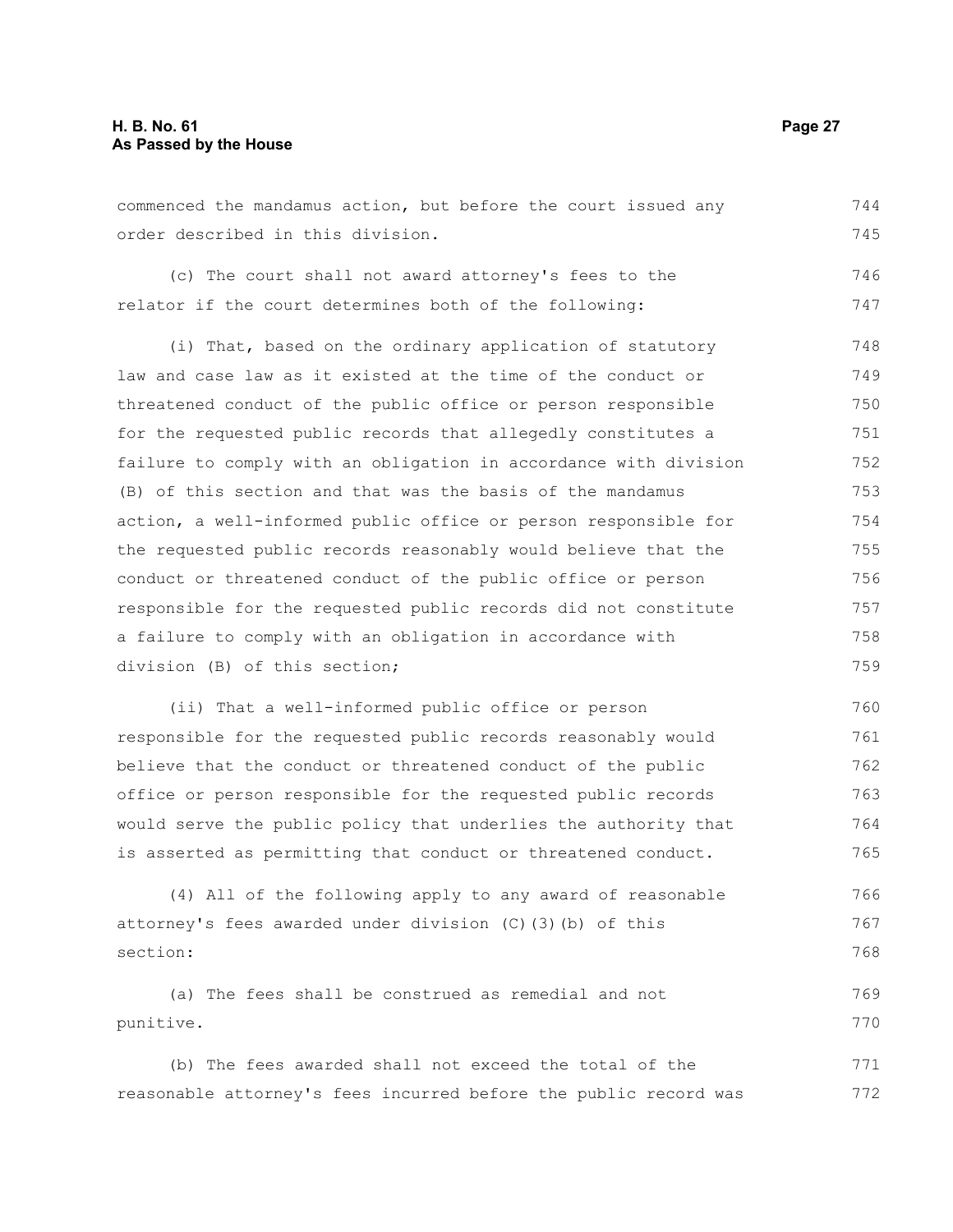commenced the mandamus action, but before the court issued any order described in this division. (c) The court shall not award attorney's fees to the relator if the court determines both of the following: (i) That, based on the ordinary application of statutory law and case law as it existed at the time of the conduct or threatened conduct of the public office or person responsible for the requested public records that allegedly constitutes a failure to comply with an obligation in accordance with division (B) of this section and that was the basis of the mandamus action, a well-informed public office or person responsible for the requested public records reasonably would believe that the conduct or threatened conduct of the public office or person responsible for the requested public records did not constitute a failure to comply with an obligation in accordance with division (B) of this section; (ii) That a well-informed public office or person responsible for the requested public records reasonably would believe that the conduct or threatened conduct of the public office or person responsible for the requested public records would serve the public policy that underlies the authority that is asserted as permitting that conduct or threatened conduct. (4) All of the following apply to any award of reasonable 744 745 746 747 748 749 750 751 752 753 754 755 756 757 758 759 760 761 762 763 764 765 766

attorney's fees awarded under division (C)(3)(b) of this section: 767 768

(a) The fees shall be construed as remedial and not punitive. 769 770

(b) The fees awarded shall not exceed the total of the reasonable attorney's fees incurred before the public record was 771 772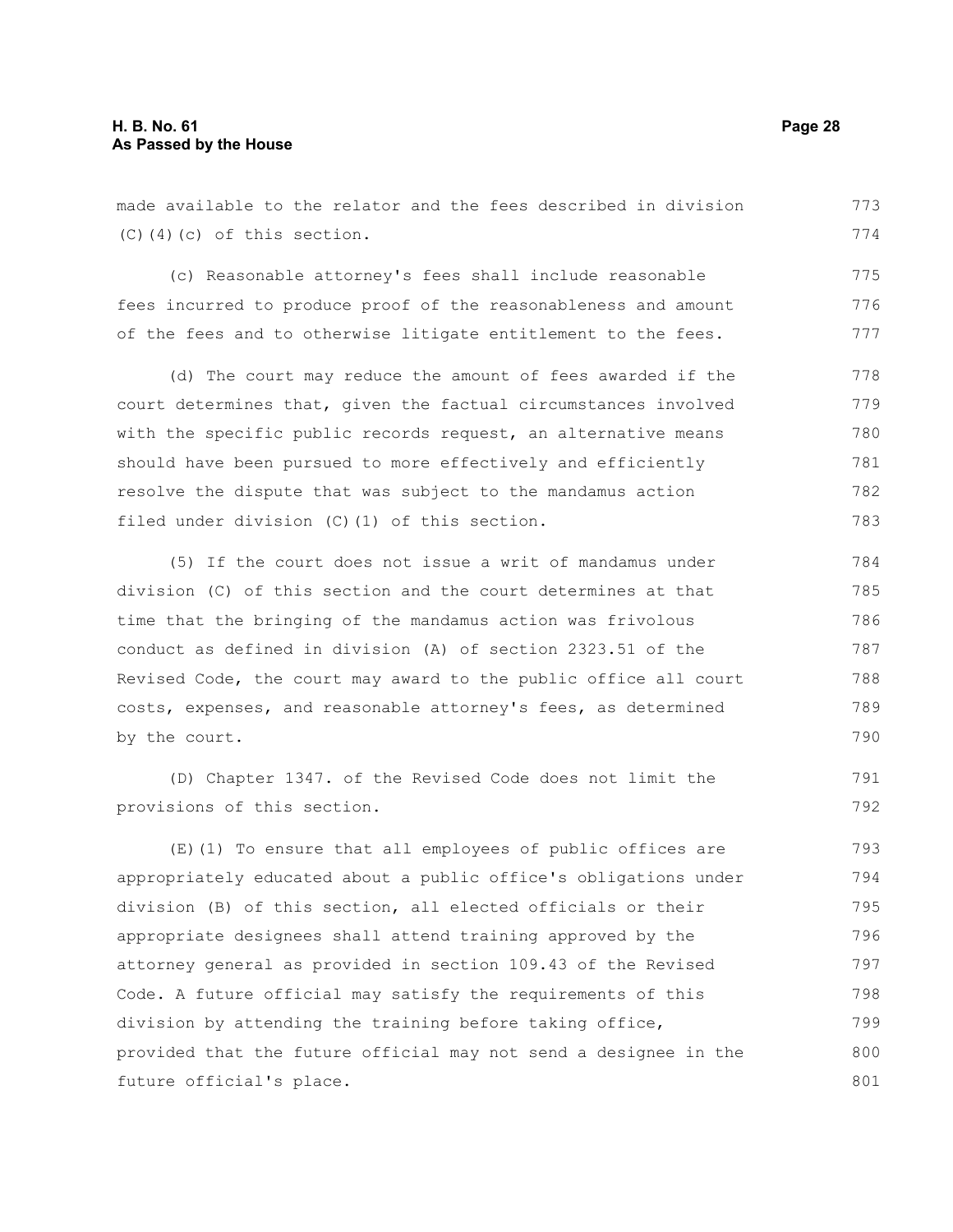791 792

| made available to the relator and the fees described in division | 773 |
|------------------------------------------------------------------|-----|
| $(C)$ (4) $(c)$ of this section.                                 | 774 |
| (c) Reasonable attorney's fees shall include reasonable          | 775 |
| fees incurred to produce proof of the reasonableness and amount  | 776 |
| of the fees and to otherwise litigate entitlement to the fees.   | 777 |
| (d) The court may reduce the amount of fees awarded if the       | 778 |
| court determines that, given the factual circumstances involved  | 779 |
| with the specific public records request, an alternative means   | 780 |
| should have been pursued to more effectively and efficiently     | 781 |
| resolve the dispute that was subject to the mandamus action      | 782 |
| filed under division (C) (1) of this section.                    | 783 |
| (5) If the court does not issue a writ of mandamus under         | 784 |
| division (C) of this section and the court determines at that    | 785 |
| time that the bringing of the mandamus action was frivolous      | 786 |
| conduct as defined in division (A) of section 2323.51 of the     | 787 |
| Revised Code, the court may award to the public office all court | 788 |
| costs, expenses, and reasonable attorney's fees, as determined   | 789 |
| by the court.                                                    | 790 |

(D) Chapter 1347. of the Revised Code does not limit the provisions of this section.

(E)(1) To ensure that all employees of public offices are appropriately educated about a public office's obligations under division (B) of this section, all elected officials or their appropriate designees shall attend training approved by the attorney general as provided in section 109.43 of the Revised Code. A future official may satisfy the requirements of this division by attending the training before taking office, provided that the future official may not send a designee in the future official's place. 793 794 795 796 797 798 799 800 801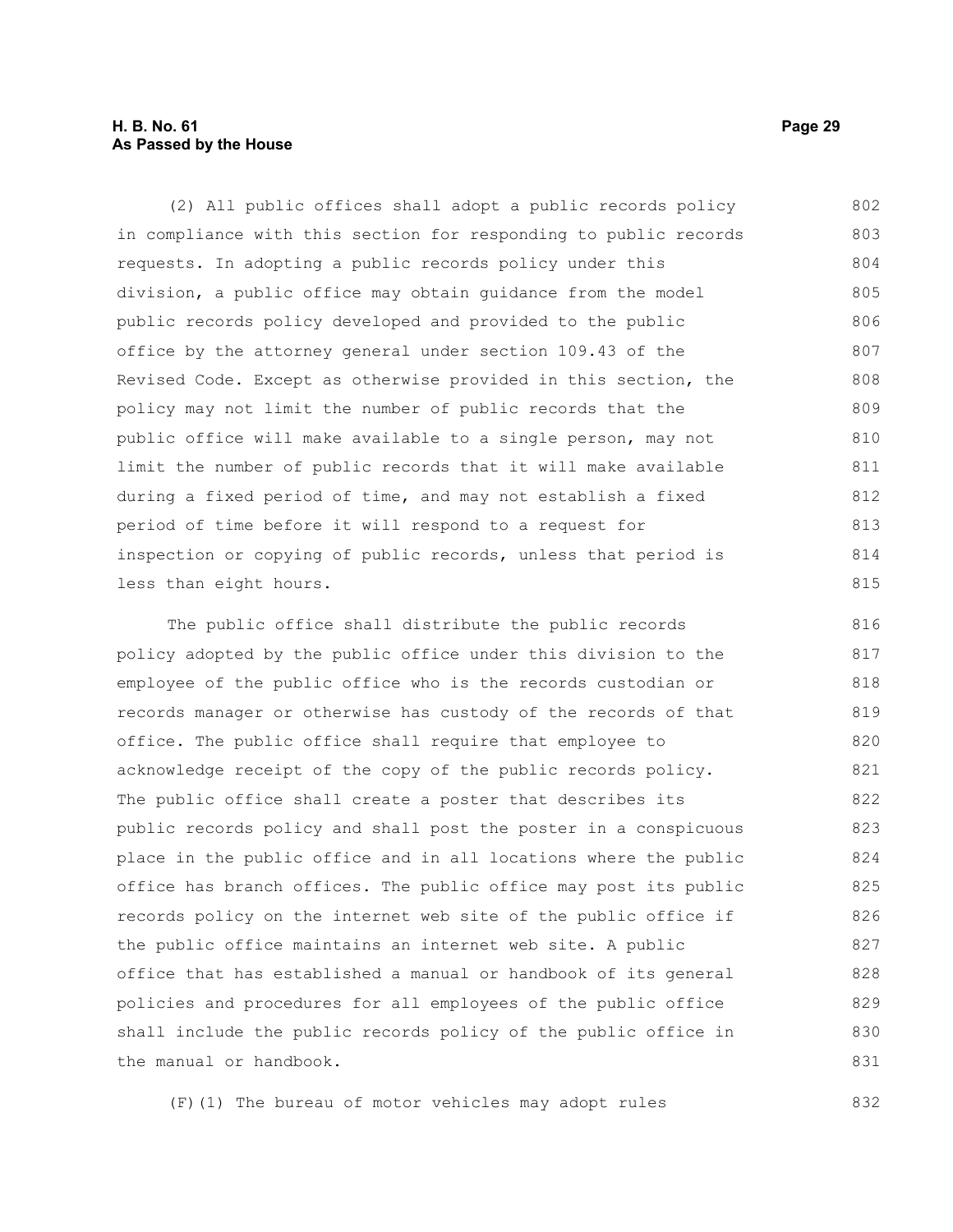#### **H. B. No. 61 Page 29 As Passed by the House**

(2) All public offices shall adopt a public records policy in compliance with this section for responding to public records requests. In adopting a public records policy under this division, a public office may obtain guidance from the model public records policy developed and provided to the public office by the attorney general under section 109.43 of the Revised Code. Except as otherwise provided in this section, the policy may not limit the number of public records that the public office will make available to a single person, may not limit the number of public records that it will make available during a fixed period of time, and may not establish a fixed period of time before it will respond to a request for inspection or copying of public records, unless that period is less than eight hours. 802 803 804 805 806 807 808 809 810 811 812 813 814 815

The public office shall distribute the public records policy adopted by the public office under this division to the employee of the public office who is the records custodian or records manager or otherwise has custody of the records of that office. The public office shall require that employee to acknowledge receipt of the copy of the public records policy. The public office shall create a poster that describes its public records policy and shall post the poster in a conspicuous place in the public office and in all locations where the public office has branch offices. The public office may post its public records policy on the internet web site of the public office if the public office maintains an internet web site. A public office that has established a manual or handbook of its general policies and procedures for all employees of the public office shall include the public records policy of the public office in the manual or handbook. 816 817 818 819 820 821 822 823 824 825 826 827 828 829 830 831

(F)(1) The bureau of motor vehicles may adopt rules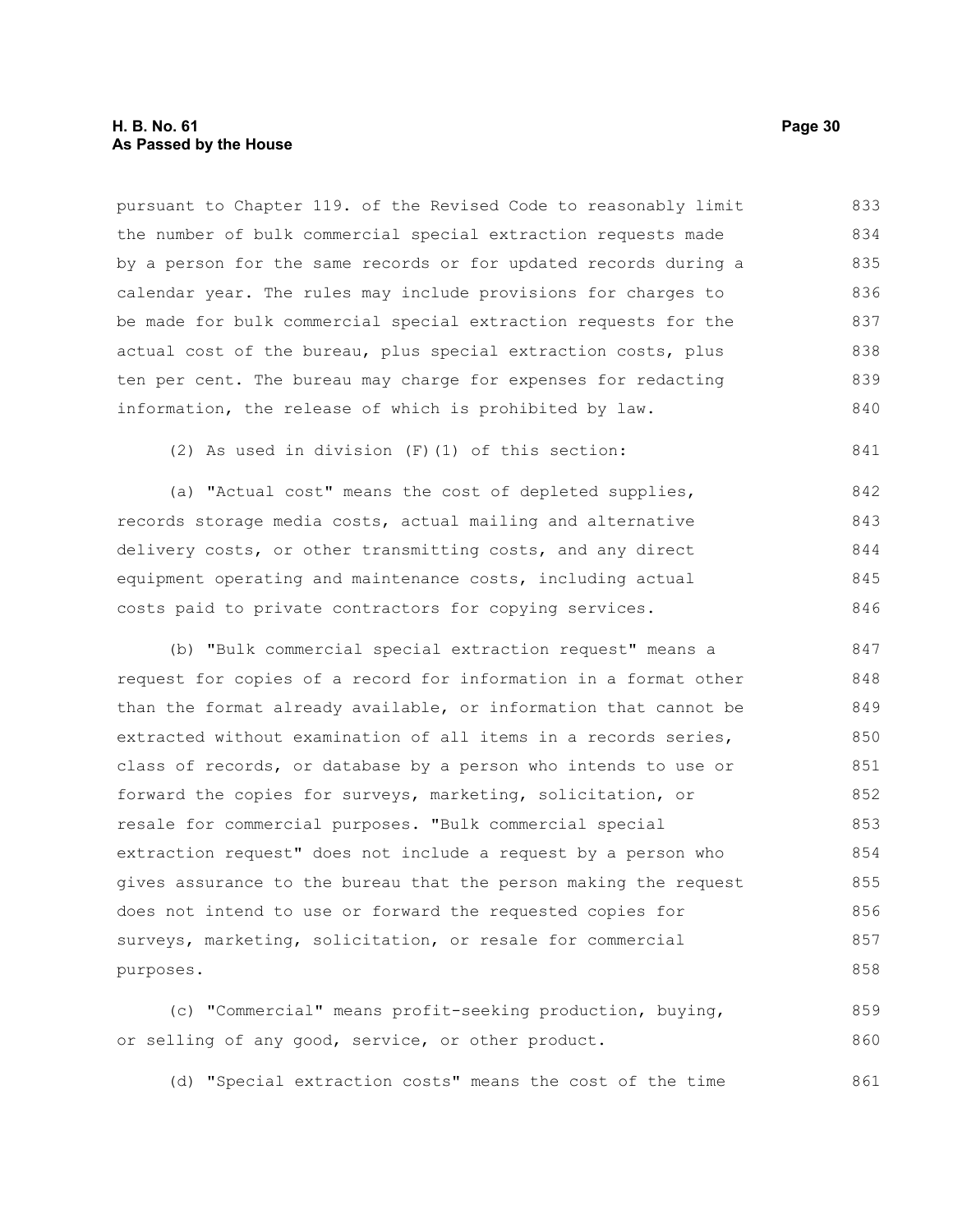#### **H. B. No. 61 Page 30 As Passed by the House**

pursuant to Chapter 119. of the Revised Code to reasonably limit the number of bulk commercial special extraction requests made by a person for the same records or for updated records during a calendar year. The rules may include provisions for charges to be made for bulk commercial special extraction requests for the actual cost of the bureau, plus special extraction costs, plus ten per cent. The bureau may charge for expenses for redacting information, the release of which is prohibited by law. 833 834 835 836 837 838 839 840

(2) As used in division (F)(1) of this section:

(a) "Actual cost" means the cost of depleted supplies, records storage media costs, actual mailing and alternative delivery costs, or other transmitting costs, and any direct equipment operating and maintenance costs, including actual costs paid to private contractors for copying services. 842 843 844 845 846

(b) "Bulk commercial special extraction request" means a request for copies of a record for information in a format other than the format already available, or information that cannot be extracted without examination of all items in a records series, class of records, or database by a person who intends to use or forward the copies for surveys, marketing, solicitation, or resale for commercial purposes. "Bulk commercial special extraction request" does not include a request by a person who gives assurance to the bureau that the person making the request does not intend to use or forward the requested copies for surveys, marketing, solicitation, or resale for commercial purposes. 847 848 849 850 851 852 853 854 855 856 857 858

(c) "Commercial" means profit-seeking production, buying, or selling of any good, service, or other product. 859 860

(d) "Special extraction costs" means the cost of the time

841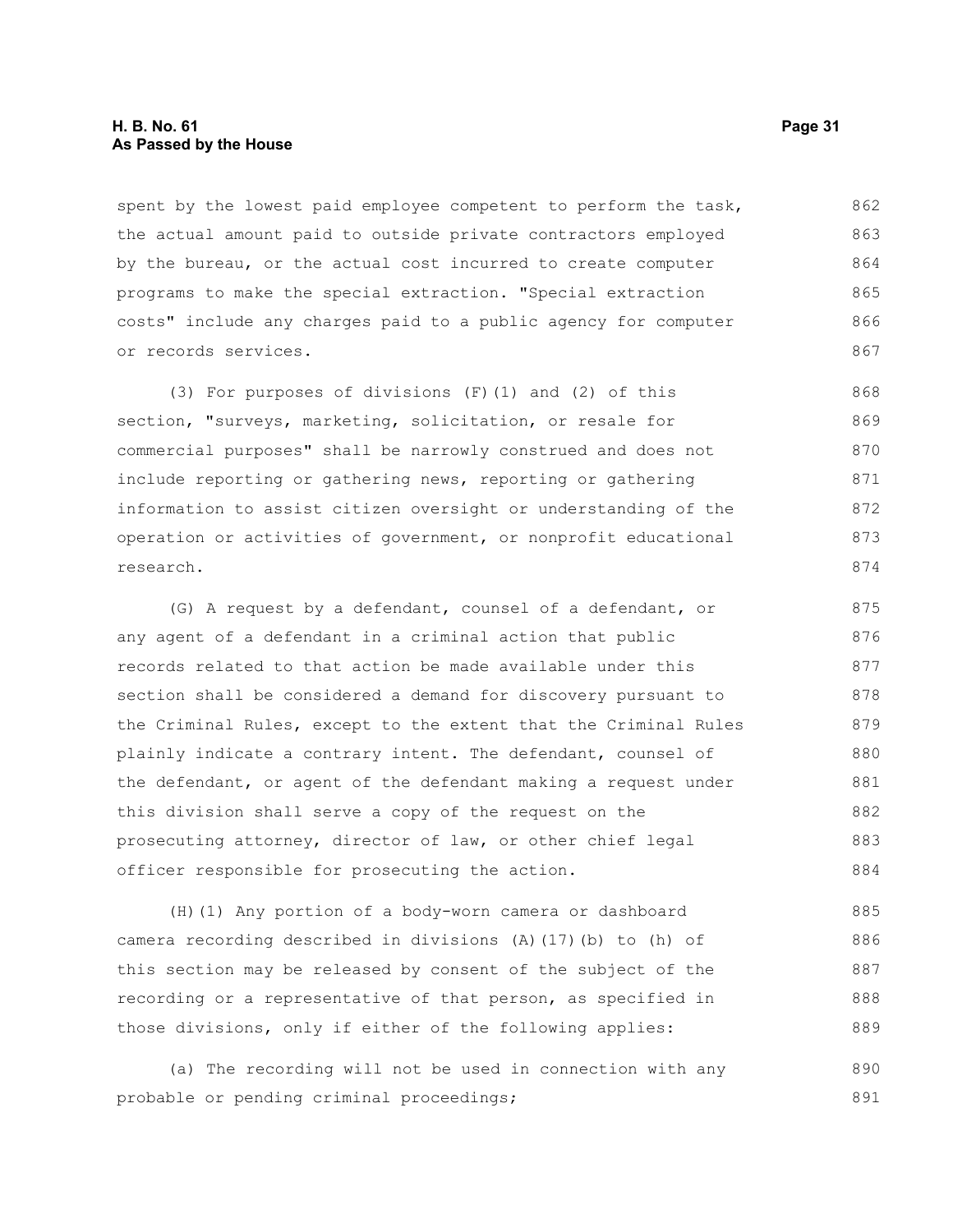#### **H. B. No. 61 Page 31 As Passed by the House**

spent by the lowest paid employee competent to perform the task, the actual amount paid to outside private contractors employed by the bureau, or the actual cost incurred to create computer programs to make the special extraction. "Special extraction costs" include any charges paid to a public agency for computer or records services. 862 863 864 865 866 867

(3) For purposes of divisions (F)(1) and (2) of this section, "surveys, marketing, solicitation, or resale for commercial purposes" shall be narrowly construed and does not include reporting or gathering news, reporting or gathering information to assist citizen oversight or understanding of the operation or activities of government, or nonprofit educational research. 868 869 870 871 872 873 874

(G) A request by a defendant, counsel of a defendant, or any agent of a defendant in a criminal action that public records related to that action be made available under this section shall be considered a demand for discovery pursuant to the Criminal Rules, except to the extent that the Criminal Rules plainly indicate a contrary intent. The defendant, counsel of the defendant, or agent of the defendant making a request under this division shall serve a copy of the request on the prosecuting attorney, director of law, or other chief legal officer responsible for prosecuting the action. 875 876 877 878 879 880 881 882 883 884

(H)(1) Any portion of a body-worn camera or dashboard camera recording described in divisions (A)(17)(b) to (h) of this section may be released by consent of the subject of the recording or a representative of that person, as specified in those divisions, only if either of the following applies: 885 886 887 888 889

(a) The recording will not be used in connection with any probable or pending criminal proceedings; 890 891